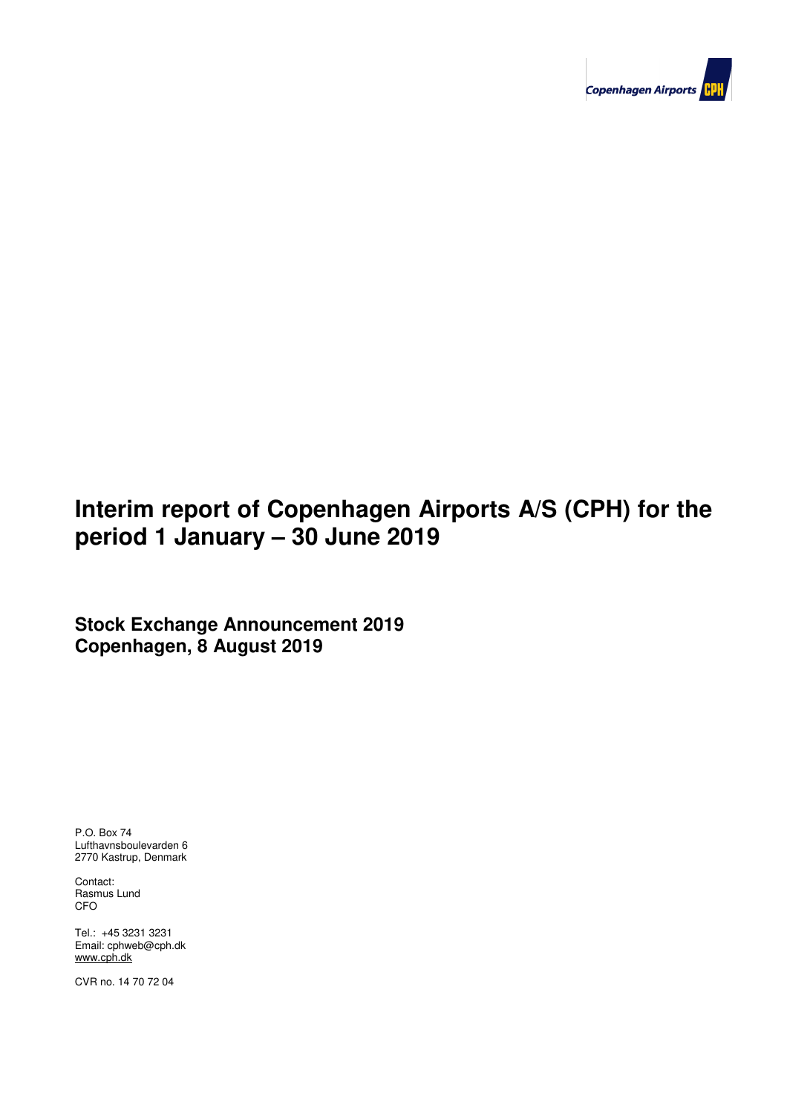

# **Interim report of Copenhagen Airports A/S (CPH) for the period 1 January – 30 June 2019**

**Stock Exchange Announcement 2019 Copenhagen, 8 August 2019**

P.O. Box 74 Lufthavnsboulevarden 6 2770 Kastrup, Denmark

Contact: Rasmus Lund CFO

Tel.: +45 3231 3231 Email: cphweb@cph.dk www.cph.dk

CVR no. 14 70 72 04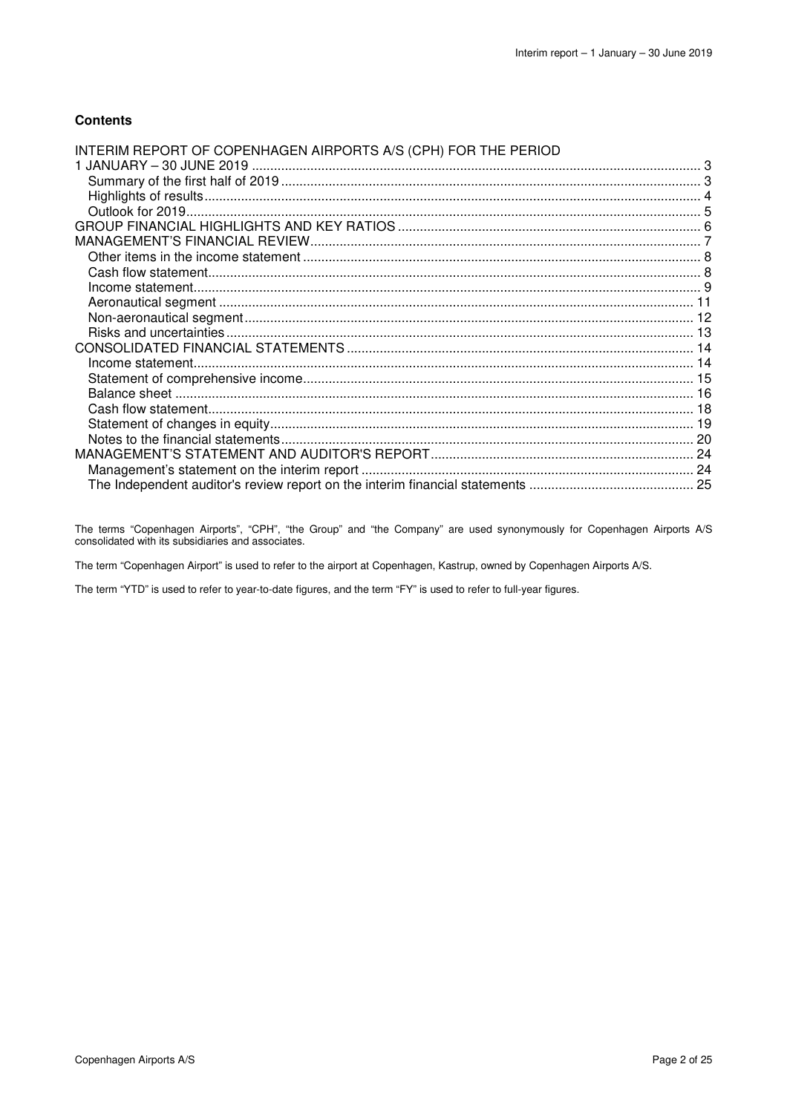### **Contents**

| INTERIM REPORT OF COPENHAGEN AIRPORTS A/S (CPH) FOR THE PERIOD |  |
|----------------------------------------------------------------|--|
|                                                                |  |
|                                                                |  |
|                                                                |  |
|                                                                |  |
|                                                                |  |
|                                                                |  |
|                                                                |  |
|                                                                |  |
|                                                                |  |
|                                                                |  |
|                                                                |  |
|                                                                |  |
|                                                                |  |
|                                                                |  |
|                                                                |  |
|                                                                |  |
|                                                                |  |
|                                                                |  |
|                                                                |  |
|                                                                |  |
|                                                                |  |
|                                                                |  |

The terms "Copenhagen Airports", "CPH", "the Group" and "the Company" are used synonymously for Copenhagen Airports A/S consolidated with its subsidiaries and associates.

The term "Copenhagen Airport" is used to refer to the airport at Copenhagen, Kastrup, owned by Copenhagen Airports A/S.

The term "YTD" is used to refer to year-to-date figures, and the term "FY" is used to refer to full-year figures.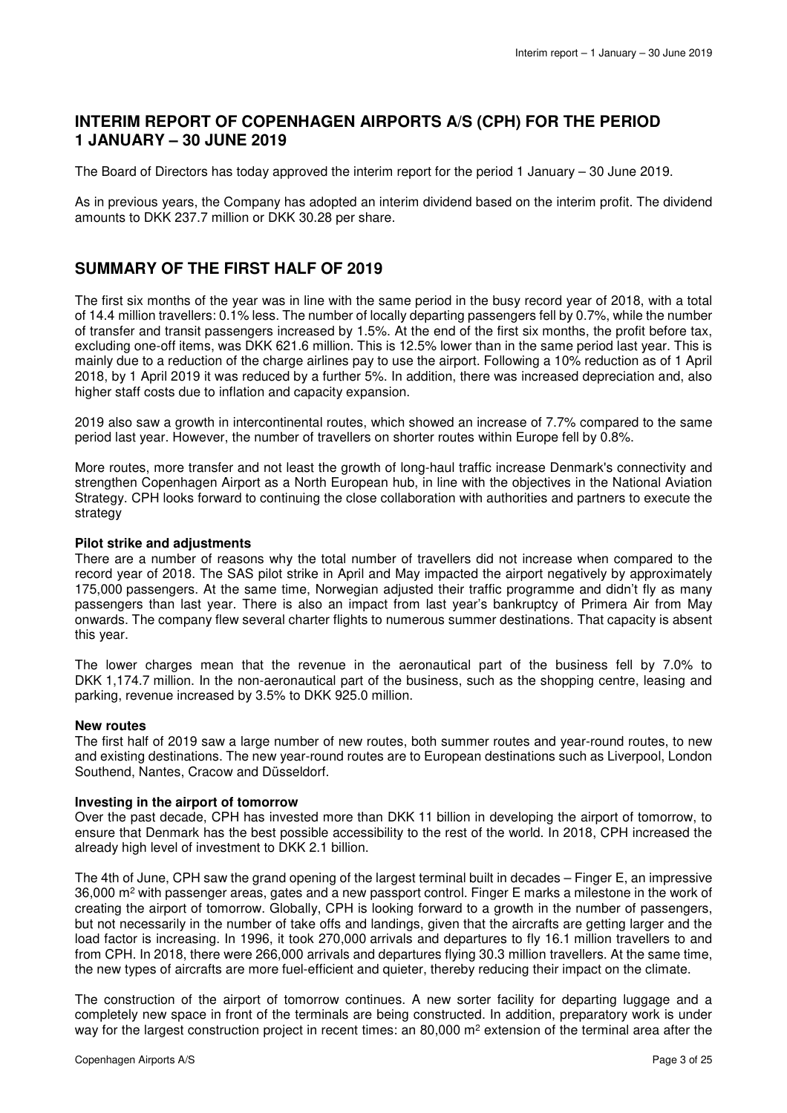# **INTERIM REPORT OF COPENHAGEN AIRPORTS A/S (CPH) FOR THE PERIOD 1 JANUARY – 30 JUNE 2019**

The Board of Directors has today approved the interim report for the period 1 January – 30 June 2019.

As in previous years, the Company has adopted an interim dividend based on the interim profit. The dividend amounts to DKK 237.7 million or DKK 30.28 per share.

# **SUMMARY OF THE FIRST HALF OF 2019**

The first six months of the year was in line with the same period in the busy record year of 2018, with a total of 14.4 million travellers: 0.1% less. The number of locally departing passengers fell by 0.7%, while the number of transfer and transit passengers increased by 1.5%. At the end of the first six months, the profit before tax, excluding one-off items, was DKK 621.6 million. This is 12.5% lower than in the same period last year. This is mainly due to a reduction of the charge airlines pay to use the airport. Following a 10% reduction as of 1 April 2018, by 1 April 2019 it was reduced by a further 5%. In addition, there was increased depreciation and, also higher staff costs due to inflation and capacity expansion.

2019 also saw a growth in intercontinental routes, which showed an increase of 7.7% compared to the same period last year. However, the number of travellers on shorter routes within Europe fell by 0.8%.

More routes, more transfer and not least the growth of long-haul traffic increase Denmark's connectivity and strengthen Copenhagen Airport as a North European hub, in line with the objectives in the National Aviation Strategy. CPH looks forward to continuing the close collaboration with authorities and partners to execute the strategy

### **Pilot strike and adjustments**

There are a number of reasons why the total number of travellers did not increase when compared to the record year of 2018. The SAS pilot strike in April and May impacted the airport negatively by approximately 175,000 passengers. At the same time, Norwegian adjusted their traffic programme and didn't fly as many passengers than last year. There is also an impact from last year's bankruptcy of Primera Air from May onwards. The company flew several charter flights to numerous summer destinations. That capacity is absent this year.

The lower charges mean that the revenue in the aeronautical part of the business fell by 7.0% to DKK 1,174.7 million. In the non-aeronautical part of the business, such as the shopping centre, leasing and parking, revenue increased by 3.5% to DKK 925.0 million.

### **New routes**

The first half of 2019 saw a large number of new routes, both summer routes and year-round routes, to new and existing destinations. The new year-round routes are to European destinations such as Liverpool, London Southend, Nantes, Cracow and Düsseldorf.

### **Investing in the airport of tomorrow**

Over the past decade, CPH has invested more than DKK 11 billion in developing the airport of tomorrow, to ensure that Denmark has the best possible accessibility to the rest of the world. In 2018, CPH increased the already high level of investment to DKK 2.1 billion.

The 4th of June, CPH saw the grand opening of the largest terminal built in decades – Finger E, an impressive 36,000 m<sup>2</sup> with passenger areas, gates and a new passport control. Finger E marks a milestone in the work of creating the airport of tomorrow. Globally, CPH is looking forward to a growth in the number of passengers, but not necessarily in the number of take offs and landings, given that the aircrafts are getting larger and the load factor is increasing. In 1996, it took 270,000 arrivals and departures to fly 16.1 million travellers to and from CPH. In 2018, there were 266,000 arrivals and departures flying 30.3 million travellers. At the same time, the new types of aircrafts are more fuel-efficient and quieter, thereby reducing their impact on the climate.

The construction of the airport of tomorrow continues. A new sorter facility for departing luggage and a completely new space in front of the terminals are being constructed. In addition, preparatory work is under way for the largest construction project in recent times: an 80,000 m<sup>2</sup> extension of the terminal area after the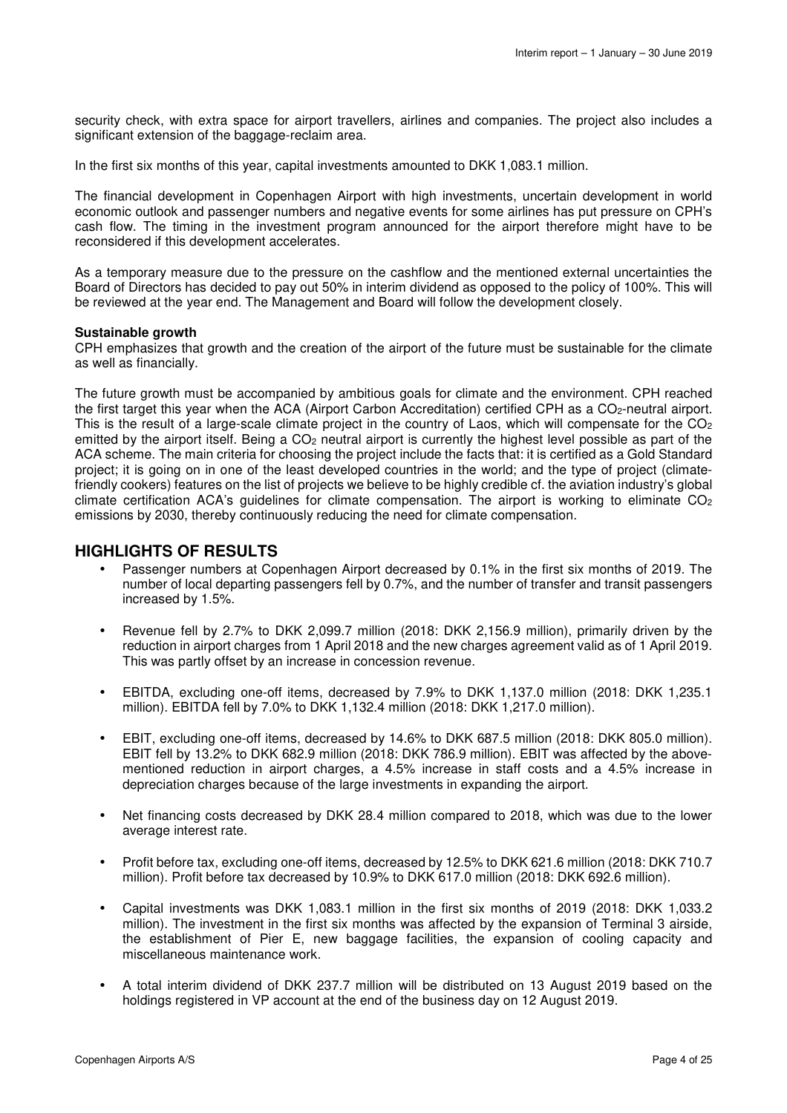security check, with extra space for airport travellers, airlines and companies. The project also includes a significant extension of the baggage-reclaim area.

In the first six months of this year, capital investments amounted to DKK 1,083.1 million.

The financial development in Copenhagen Airport with high investments, uncertain development in world economic outlook and passenger numbers and negative events for some airlines has put pressure on CPH's cash flow. The timing in the investment program announced for the airport therefore might have to be reconsidered if this development accelerates.

As a temporary measure due to the pressure on the cashflow and the mentioned external uncertainties the Board of Directors has decided to pay out 50% in interim dividend as opposed to the policy of 100%. This will be reviewed at the year end. The Management and Board will follow the development closely.

### **Sustainable growth**

CPH emphasizes that growth and the creation of the airport of the future must be sustainable for the climate as well as financially.

The future growth must be accompanied by ambitious goals for climate and the environment. CPH reached the first target this year when the ACA (Airport Carbon Accreditation) certified CPH as a CO<sub>2</sub>-neutral airport. This is the result of a large-scale climate project in the country of Laos, which will compensate for the  $CO<sub>2</sub>$ emitted by the airport itself. Being a CO<sub>2</sub> neutral airport is currently the highest level possible as part of the ACA scheme. The main criteria for choosing the project include the facts that: it is certified as a Gold Standard project; it is going on in one of the least developed countries in the world; and the type of project (climatefriendly cookers) features on the list of projects we believe to be highly credible cf. the aviation industry's global climate certification ACA's quidelines for climate compensation. The airport is working to eliminate  $CO<sub>2</sub>$ emissions by 2030, thereby continuously reducing the need for climate compensation.

## **HIGHLIGHTS OF RESULTS**

- Passenger numbers at Copenhagen Airport decreased by 0.1% in the first six months of 2019. The number of local departing passengers fell by 0.7%, and the number of transfer and transit passengers increased by 1.5%.
- Revenue fell by 2.7% to DKK 2,099.7 million (2018: DKK 2,156.9 million), primarily driven by the reduction in airport charges from 1 April 2018 and the new charges agreement valid as of 1 April 2019. This was partly offset by an increase in concession revenue.
- EBITDA, excluding one-off items, decreased by 7.9% to DKK 1,137.0 million (2018: DKK 1,235.1 million). EBITDA fell by 7.0% to DKK 1,132.4 million (2018: DKK 1,217.0 million).
- EBIT, excluding one-off items, decreased by 14.6% to DKK 687.5 million (2018: DKK 805.0 million). EBIT fell by 13.2% to DKK 682.9 million (2018: DKK 786.9 million). EBIT was affected by the abovementioned reduction in airport charges, a 4.5% increase in staff costs and a 4.5% increase in depreciation charges because of the large investments in expanding the airport.
- Net financing costs decreased by DKK 28.4 million compared to 2018, which was due to the lower average interest rate.
- Profit before tax, excluding one-off items, decreased by 12.5% to DKK 621.6 million (2018: DKK 710.7 million). Profit before tax decreased by 10.9% to DKK 617.0 million (2018: DKK 692.6 million).
- Capital investments was DKK 1,083.1 million in the first six months of 2019 (2018: DKK 1,033.2 million). The investment in the first six months was affected by the expansion of Terminal 3 airside, the establishment of Pier E, new baggage facilities, the expansion of cooling capacity and miscellaneous maintenance work.
- A total interim dividend of DKK 237.7 million will be distributed on 13 August 2019 based on the holdings registered in VP account at the end of the business day on 12 August 2019.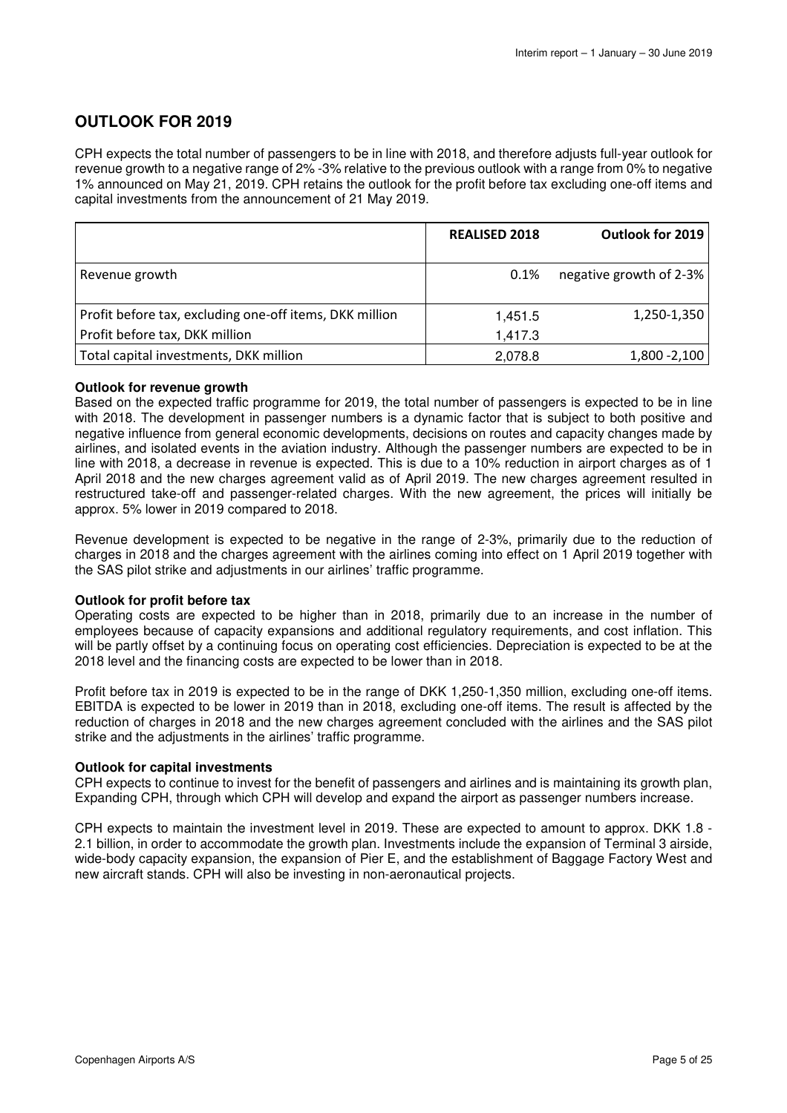# **OUTLOOK FOR 2019**

CPH expects the total number of passengers to be in line with 2018, and therefore adjusts full-year outlook for revenue growth to a negative range of 2% -3% relative to the previous outlook with a range from 0% to negative 1% announced on May 21, 2019. CPH retains the outlook for the profit before tax excluding one-off items and capital investments from the announcement of 21 May 2019.

|                                                         | <b>REALISED 2018</b> | Outlook for 2019        |
|---------------------------------------------------------|----------------------|-------------------------|
|                                                         |                      |                         |
| Revenue growth                                          | 0.1%                 | negative growth of 2-3% |
|                                                         |                      |                         |
| Profit before tax, excluding one-off items, DKK million | 1,451.5              | 1,250-1,350             |
| Profit before tax, DKK million                          | 1,417.3              |                         |
| Total capital investments, DKK million                  | 2,078.8              | $1,800 - 2,100$         |

### **Outlook for revenue growth**

Based on the expected traffic programme for 2019, the total number of passengers is expected to be in line with 2018. The development in passenger numbers is a dynamic factor that is subject to both positive and negative influence from general economic developments, decisions on routes and capacity changes made by airlines, and isolated events in the aviation industry. Although the passenger numbers are expected to be in line with 2018, a decrease in revenue is expected. This is due to a 10% reduction in airport charges as of 1 April 2018 and the new charges agreement valid as of April 2019. The new charges agreement resulted in restructured take-off and passenger-related charges. With the new agreement, the prices will initially be approx. 5% lower in 2019 compared to 2018.

Revenue development is expected to be negative in the range of 2-3%, primarily due to the reduction of charges in 2018 and the charges agreement with the airlines coming into effect on 1 April 2019 together with the SAS pilot strike and adjustments in our airlines' traffic programme.

### **Outlook for profit before tax**

Operating costs are expected to be higher than in 2018, primarily due to an increase in the number of employees because of capacity expansions and additional regulatory requirements, and cost inflation. This will be partly offset by a continuing focus on operating cost efficiencies. Depreciation is expected to be at the 2018 level and the financing costs are expected to be lower than in 2018.

Profit before tax in 2019 is expected to be in the range of DKK 1,250-1,350 million, excluding one-off items. EBITDA is expected to be lower in 2019 than in 2018, excluding one-off items. The result is affected by the reduction of charges in 2018 and the new charges agreement concluded with the airlines and the SAS pilot strike and the adjustments in the airlines' traffic programme.

### **Outlook for capital investments**

CPH expects to continue to invest for the benefit of passengers and airlines and is maintaining its growth plan, Expanding CPH, through which CPH will develop and expand the airport as passenger numbers increase.

CPH expects to maintain the investment level in 2019. These are expected to amount to approx. DKK 1.8 - 2.1 billion, in order to accommodate the growth plan. Investments include the expansion of Terminal 3 airside, wide-body capacity expansion, the expansion of Pier E, and the establishment of Baggage Factory West and new aircraft stands. CPH will also be investing in non-aeronautical projects.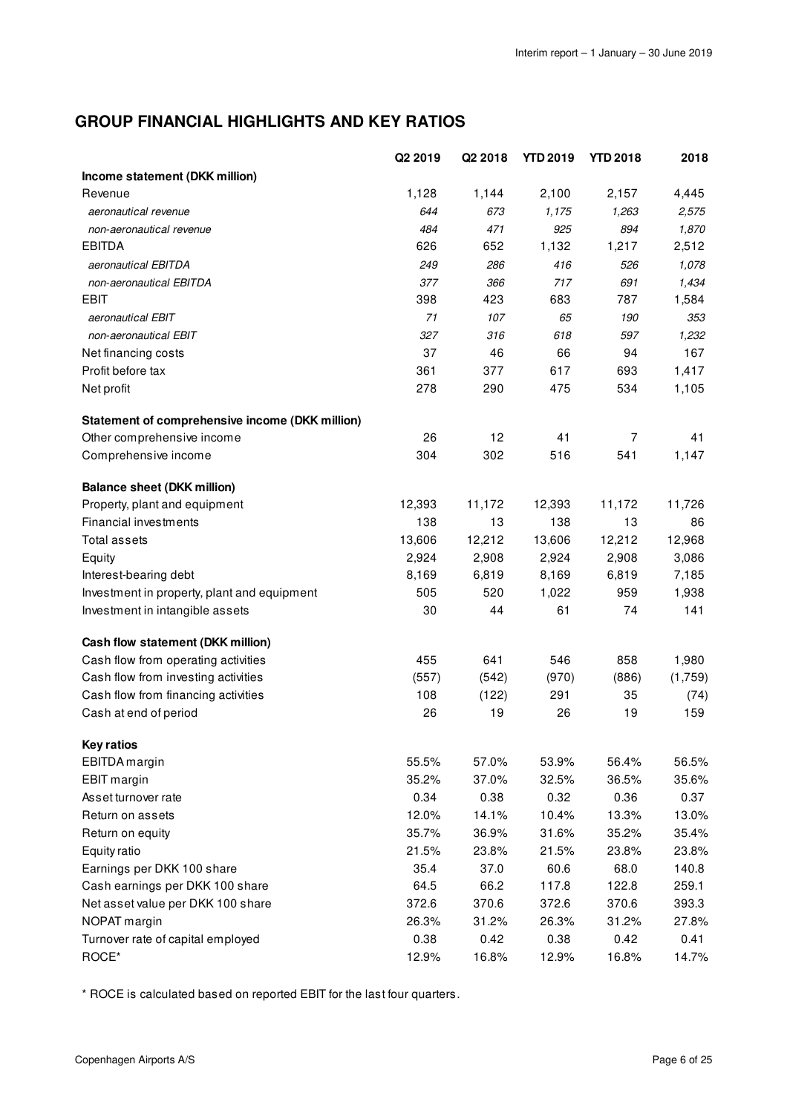# **GROUP FINANCIAL HIGHLIGHTS AND KEY RATIOS**

|                                                 | Q2 2019 | Q2 2018 | <b>YTD 2019</b> | <b>YTD 2018</b> | 2018    |
|-------------------------------------------------|---------|---------|-----------------|-----------------|---------|
| Income statement (DKK million)                  |         |         |                 |                 |         |
| Revenue                                         | 1,128   | 1,144   | 2,100           | 2,157           | 4,445   |
| aeronautical revenue                            | 644     | 673     | 1,175           | 1,263           | 2,575   |
| non-aeronautical revenue                        | 484     | 471     | 925             | 894             | 1,870   |
| <b>EBITDA</b>                                   | 626     | 652     | 1,132           | 1,217           | 2,512   |
| aeronautical EBITDA                             | 249     | 286     | 416             | 526             | 1,078   |
| non-aeronautical EBITDA                         | 377     | 366     | 717             | 691             | 1,434   |
| <b>EBIT</b>                                     | 398     | 423     | 683             | 787             | 1,584   |
| aeronautical EBIT                               | 71      | 107     | 65              | 190             | 353     |
| non-aeronautical EBIT                           | 327     | 316     | 618             | 597             | 1,232   |
| Net financing costs                             | 37      | 46      | 66              | 94              | 167     |
| Profit before tax                               | 361     | 377     | 617             | 693             | 1,417   |
| Net profit                                      | 278     | 290     | 475             | 534             | 1,105   |
| Statement of comprehensive income (DKK million) |         |         |                 |                 |         |
| Other comprehensive income                      | 26      | 12      | 41              | $\overline{7}$  | 41      |
| Comprehensive income                            | 304     | 302     | 516             | 541             | 1,147   |
| <b>Balance sheet (DKK million)</b>              |         |         |                 |                 |         |
| Property, plant and equipment                   | 12,393  | 11,172  | 12,393          | 11,172          | 11,726  |
| Financial investments                           | 138     | 13      | 138             | 13              | 86      |
| <b>Total assets</b>                             | 13,606  | 12,212  | 13,606          | 12,212          | 12,968  |
| Equity                                          | 2,924   | 2,908   | 2,924           | 2,908           | 3,086   |
| Interest-bearing debt                           | 8,169   | 6,819   | 8,169           | 6,819           | 7,185   |
| Investment in property, plant and equipment     | 505     | 520     | 1,022           | 959             | 1,938   |
| Investment in intangible assets                 | 30      | 44      | 61              | 74              | 141     |
| Cash flow statement (DKK million)               |         |         |                 |                 |         |
| Cash flow from operating activities             | 455     | 641     | 546             | 858             | 1,980   |
| Cash flow from investing activities             | (557)   | (542)   | (970)           | (886)           | (1,759) |
| Cash flow from financing activities             | 108     | (122)   | 291             | 35              | (74)    |
| Cash at end of period                           | 26      | 19      | 26              | 19              | 159     |
| <b>Key ratios</b>                               |         |         |                 |                 |         |
| EBITDA margin                                   | 55.5%   | 57.0%   | 53.9%           | 56.4%           | 56.5%   |
| EBIT margin                                     | 35.2%   | 37.0%   | 32.5%           | 36.5%           | 35.6%   |
| Asset turnover rate                             | 0.34    | 0.38    | 0.32            | 0.36            | 0.37    |
| Return on assets                                | 12.0%   | 14.1%   | 10.4%           | 13.3%           | 13.0%   |
| Return on equity                                | 35.7%   | 36.9%   | 31.6%           | 35.2%           | 35.4%   |
| Equity ratio                                    | 21.5%   | 23.8%   | 21.5%           | 23.8%           | 23.8%   |
| Earnings per DKK 100 share                      | 35.4    | 37.0    | 60.6            | 68.0            | 140.8   |
| Cash earnings per DKK 100 share                 | 64.5    | 66.2    | 117.8           | 122.8           | 259.1   |
| Net asset value per DKK 100 share               | 372.6   | 370.6   | 372.6           | 370.6           | 393.3   |
| NOPAT margin                                    | 26.3%   | 31.2%   | 26.3%           | 31.2%           | 27.8%   |
| Turnover rate of capital employed               | 0.38    | 0.42    | 0.38            | 0.42            | 0.41    |
| ROCE*                                           | 12.9%   | 16.8%   | 12.9%           | 16.8%           | 14.7%   |

\* ROCE is calculated based on reported EBIT for the last four quarters.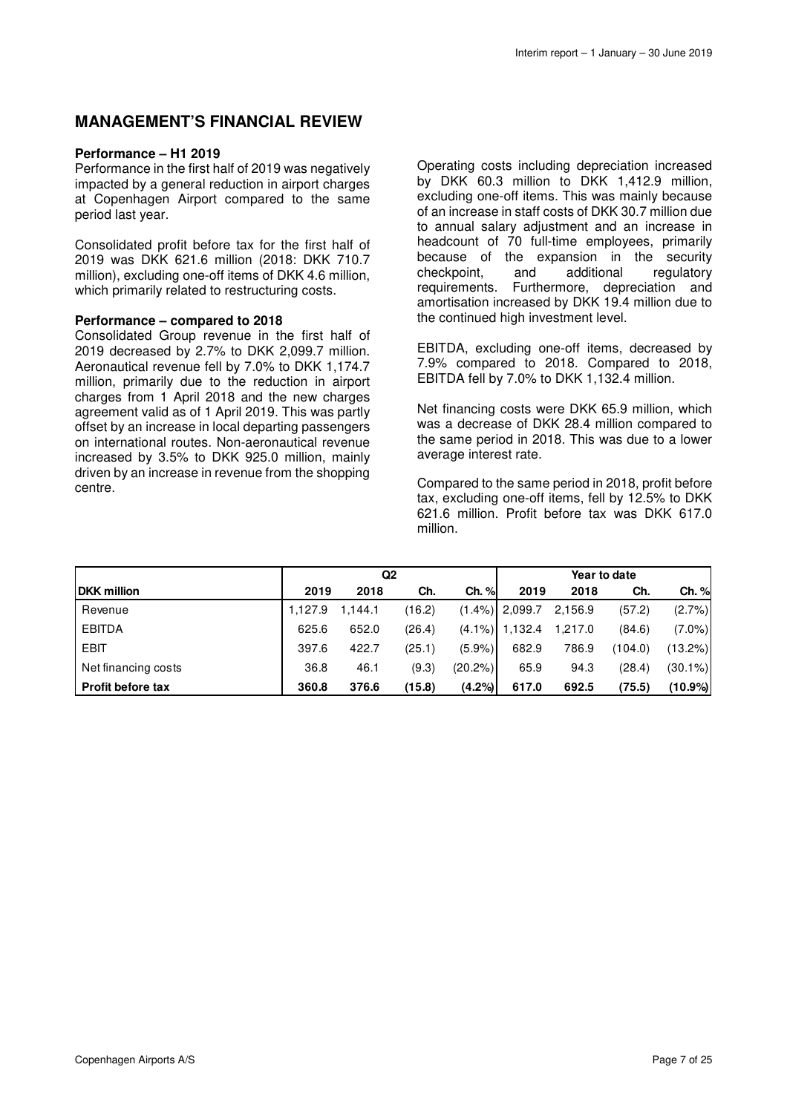# **MANAGEMENT'S FINANCIAL REVIEW**

### **Performance – H1 2019**

Performance in the first half of 2019 was negatively impacted by a general reduction in airport charges at Copenhagen Airport compared to the same period last year.

Consolidated profit before tax for the first half of 2019 was DKK 621.6 million (2018: DKK 710.7 million), excluding one-off items of DKK 4.6 million, which primarily related to restructuring costs.

### **Performance – compared to 2018**

Consolidated Group revenue in the first half of 2019 decreased by 2.7% to DKK 2,099.7 million. Aeronautical revenue fell by 7.0% to DKK 1,174.7 million, primarily due to the reduction in airport charges from 1 April 2018 and the new charges agreement valid as of 1 April 2019. This was partly offset by an increase in local departing passengers on international routes. Non-aeronautical revenue increased by 3.5% to DKK 925.0 million, mainly driven by an increase in revenue from the shopping centre.

Operating costs including depreciation increased by DKK 60.3 million to DKK 1,412.9 million, excluding one-off items. This was mainly because of an increase in staff costs of DKK 30.7 million due to annual salary adjustment and an increase in headcount of 70 full-time employees, primarily because of the expansion in the security checkpoint, and additional regulatory requirements. Furthermore, depreciation and amortisation increased by DKK 19.4 million due to the continued high investment level.

EBITDA, excluding one-off items, decreased by 7.9% compared to 2018. Compared to 2018, EBITDA fell by 7.0% to DKK 1,132.4 million.

Net financing costs were DKK 65.9 million, which was a decrease of DKK 28.4 million compared to the same period in 2018. This was due to a lower average interest rate.

Compared to the same period in 2018, profit before tax, excluding one-off items, fell by 12.5% to DKK 621.6 million. Profit before tax was DKK 617.0 million.

|                          | Q <sub>2</sub> |         |        |            |                   |         | Year to date |            |
|--------------------------|----------------|---------|--------|------------|-------------------|---------|--------------|------------|
| <b>DKK</b> million       | 2019           | 2018    | Ch.    | Ch. %      | 2019              | 2018    | Ch.          | Ch. %      |
| Revenue                  | 1,127.9        | 1.144.1 | (16.2) |            | (1.4%)  2.099.7   | 2,156.9 | (57.2)       | (2.7%)     |
| <b>EBITDA</b>            | 625.6          | 652.0   | (26.4) |            | $(4.1\%)$ 1.132.4 | 1.217.0 | (84.6)       | $(7.0\%)$  |
| <b>EBIT</b>              | 397.6          | 422.7   | (25.1) | $(5.9\%)$  | 682.9             | 786.9   | (104.0)      | (13.2%)    |
| Net financing costs      | 36.8           | 46.1    | (9.3)  | $(20.2\%)$ | 65.9              | 94.3    | (28.4)       | $(30.1\%)$ |
| <b>Profit before tax</b> | 360.8          | 376.6   | (15.8) | $(4.2\%)$  | 617.0             | 692.5   | (75.5)       | $(10.9\%)$ |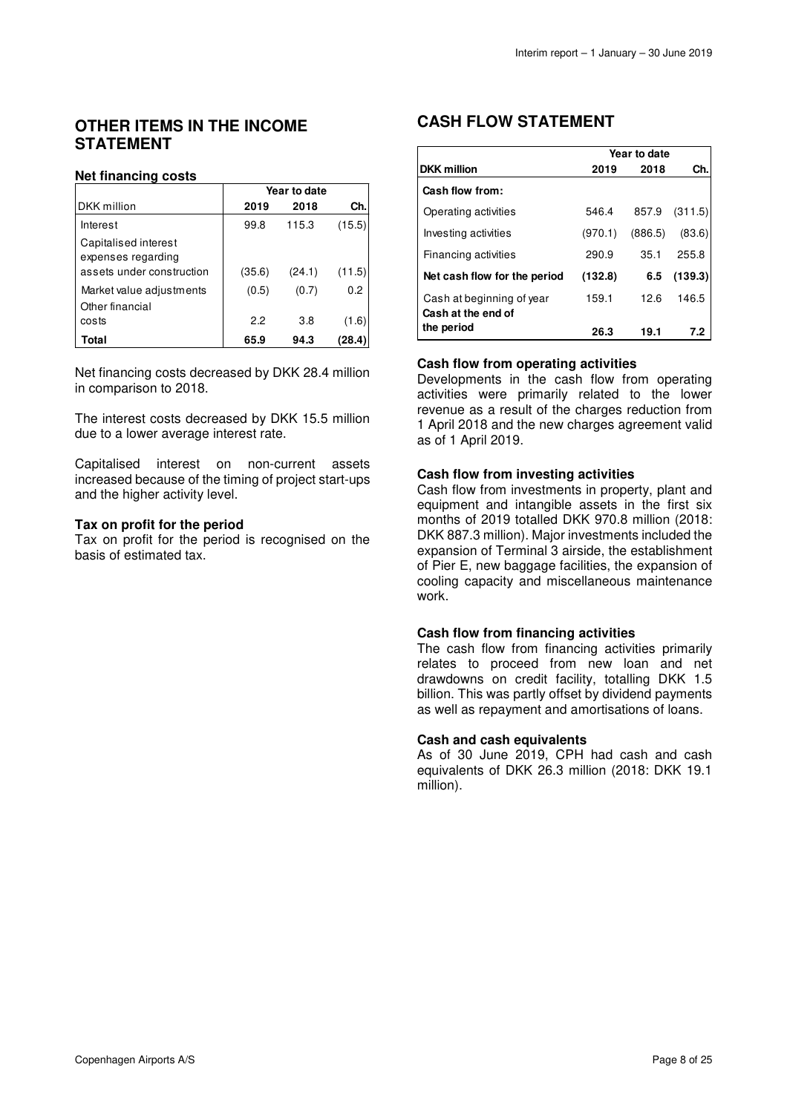# **OTHER ITEMS IN THE INCOME STATEMENT**

### **Net financing costs**

|                                             | Year to date |        |        |  |  |
|---------------------------------------------|--------------|--------|--------|--|--|
| DKK million                                 | 2019         | 2018   | Ch.    |  |  |
| Interest                                    | 99.8         | 115.3  | (15.5) |  |  |
| Capitalised interest<br>expenses regarding  |              |        |        |  |  |
| assets under construction                   | (35.6)       | (24.1) | (11.5) |  |  |
| Market value adjustments<br>Other financial | (0.5)        | (0.7)  | 0.2    |  |  |
| costs                                       | 2.2          | 3.8    | (1.6)  |  |  |
| Total                                       | 65.9         | 94.3   | (28.4  |  |  |

Net financing costs decreased by DKK 28.4 million in comparison to 2018.

The interest costs decreased by DKK 15.5 million due to a lower average interest rate.

Capitalised interest on non-current assets increased because of the timing of project start-ups and the higher activity level.

### **Tax on profit for the period**

Tax on profit for the period is recognised on the basis of estimated tax.

# **CASH FLOW STATEMENT**

|                                                 | Year to date |         |         |  |  |  |
|-------------------------------------------------|--------------|---------|---------|--|--|--|
| <b>DKK</b> million                              | 2019         | 2018    | Ch.     |  |  |  |
| Cash flow from:                                 |              |         |         |  |  |  |
| Operating activities                            | 546.4        | 857.9   | (311.5) |  |  |  |
| Investing activities                            | (970.1)      | (886.5) | (83.6)  |  |  |  |
| Financing activities                            | 290.9        | 35.1    | 255.8   |  |  |  |
| Net cash flow for the period                    | (132.8)      | 6.5     | (139.3) |  |  |  |
| Cash at beginning of year<br>Cash at the end of | 159.1        | 12.6    | 146.5   |  |  |  |
| the period                                      | 26.3         | 19.1    | 7.2     |  |  |  |

### **Cash flow from operating activities**

Developments in the cash flow from operating activities were primarily related to the lower revenue as a result of the charges reduction from 1 April 2018 and the new charges agreement valid as of 1 April 2019.

### **Cash flow from investing activities**

Cash flow from investments in property, plant and equipment and intangible assets in the first six months of 2019 totalled DKK 970.8 million (2018: DKK 887.3 million). Major investments included the expansion of Terminal 3 airside, the establishment of Pier E, new baggage facilities, the expansion of cooling capacity and miscellaneous maintenance work.

### **Cash flow from financing activities**

The cash flow from financing activities primarily relates to proceed from new loan and net drawdowns on credit facility, totalling DKK 1.5 billion. This was partly offset by dividend payments as well as repayment and amortisations of loans.

### **Cash and cash equivalents**

As of 30 June 2019, CPH had cash and cash equivalents of DKK 26.3 million (2018: DKK 19.1 million).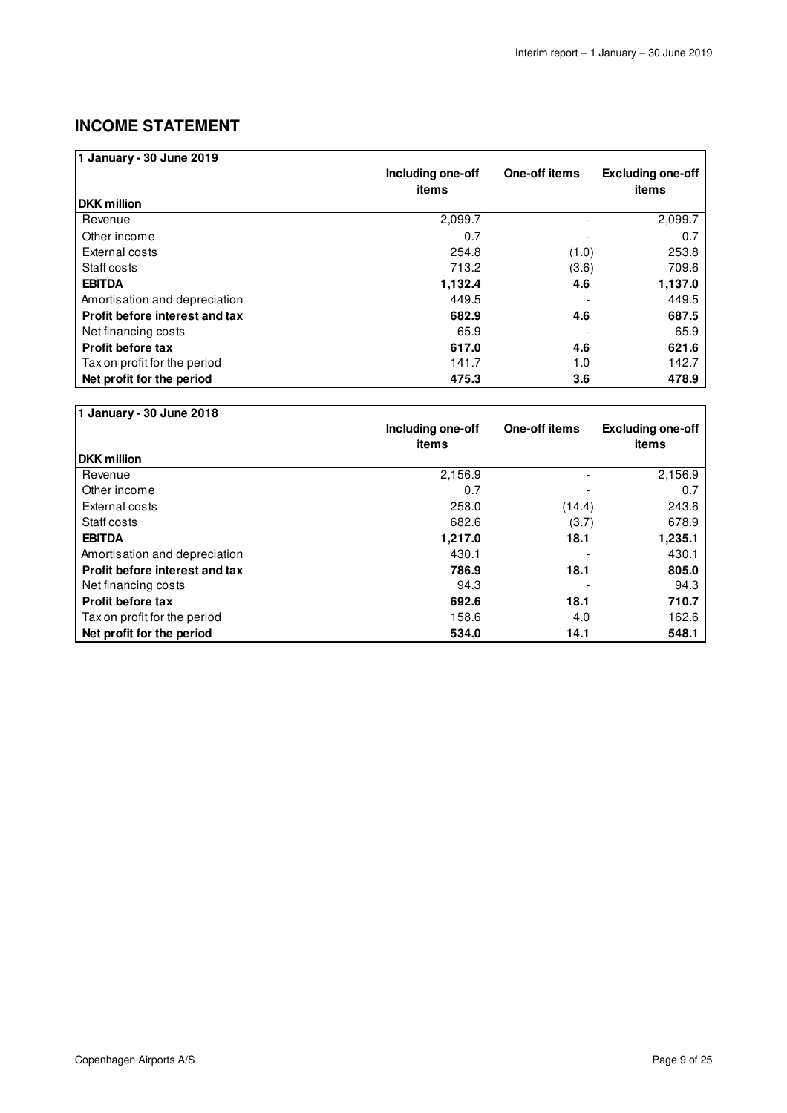# **INCOME STATEMENT**

| 1 January - 30 June 2019       |                   |               |                          |
|--------------------------------|-------------------|---------------|--------------------------|
|                                | Including one-off | One-off items | <b>Excluding one-off</b> |
|                                | items             |               | items                    |
| <b>DKK million</b>             |                   |               |                          |
| Revenue                        | 2,099.7           |               | 2,099.7                  |
| Other income                   | 0.7               |               | 0.7                      |
| External costs                 | 254.8             | (1.0)         | 253.8                    |
| Staff costs                    | 713.2             | (3.6)         | 709.6                    |
| <b>EBITDA</b>                  | 1,132.4           | 4.6           | 1,137.0                  |
| Amortisation and depreciation  | 449.5             |               | 449.5                    |
| Profit before interest and tax | 682.9             | 4.6           | 687.5                    |
| Net financing costs            | 65.9              |               | 65.9                     |
| <b>Profit before tax</b>       | 617.0             | 4.6           | 621.6                    |
| Tax on profit for the period   | 141.7             | 1.0           | 142.7                    |
| Net profit for the period      | 475.3             | 3.6           | 478.9                    |

| 1 January - 30 June 2018       |                            |               |                                   |
|--------------------------------|----------------------------|---------------|-----------------------------------|
|                                | Including one-off<br>items | One-off items | <b>Excluding one-off</b><br>items |
| <b>DKK</b> million             |                            |               |                                   |
| Revenue                        | 2,156.9                    |               | 2,156.9                           |
| Other income                   | 0.7                        |               | 0.7                               |
| External costs                 | 258.0                      | (14.4)        | 243.6                             |
| Staff costs                    | 682.6                      | (3.7)         | 678.9                             |
| <b>EBITDA</b>                  | 1,217.0                    | 18.1          | 1,235.1                           |
| Amortisation and depreciation  | 430.1                      |               | 430.1                             |
| Profit before interest and tax | 786.9                      | 18.1          | 805.0                             |
| Net financing costs            | 94.3                       |               | 94.3                              |
| <b>Profit before tax</b>       | 692.6                      | 18.1          | 710.7                             |
| Tax on profit for the period   | 158.6                      | 4.0           | 162.6                             |
| Net profit for the period      | 534.0                      | 14.1          | 548.1                             |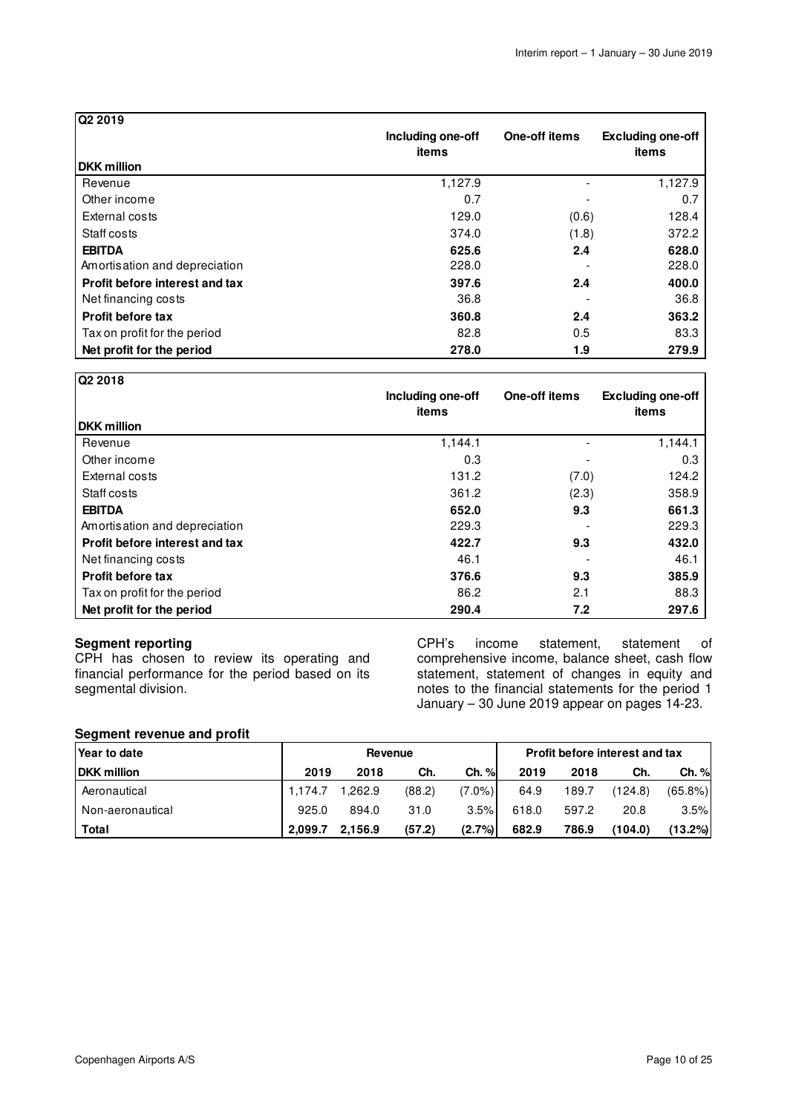| Q2 2019                        |                   |               |                          |
|--------------------------------|-------------------|---------------|--------------------------|
|                                | Including one-off | One-off items | <b>Excluding one-off</b> |
|                                | items             |               | items                    |
| <b>DKK</b> million             |                   |               |                          |
| Revenue                        | 1,127.9           |               | 1,127.9                  |
| Other income                   | 0.7               |               | 0.7                      |
| External costs                 | 129.0             | (0.6)         | 128.4                    |
| Staff costs                    | 374.0             | (1.8)         | 372.2                    |
| <b>EBITDA</b>                  | 625.6             | 2.4           | 628.0                    |
| Amortisation and depreciation  | 228.0             |               | 228.0                    |
| Profit before interest and tax | 397.6             | 2.4           | 400.0                    |
| Net financing costs            | 36.8              |               | 36.8                     |
| <b>Profit before tax</b>       | 360.8             | 2.4           | 363.2                    |
| Tax on profit for the period   | 82.8              | 0.5           | 83.3                     |
| Net profit for the period      | 278.0             | 1.9           | 279.9                    |

| Q2 2018                        |                   |               |                          |
|--------------------------------|-------------------|---------------|--------------------------|
|                                | Including one-off | One-off items | <b>Excluding one-off</b> |
|                                | items             |               | items                    |
| <b>DKK</b> million             |                   |               |                          |
| Revenue                        | 1,144.1           |               | 1,144.1                  |
| Other income                   | 0.3               |               | 0.3                      |
| External costs                 | 131.2             | (7.0)         | 124.2                    |
| Staff costs                    | 361.2             | (2.3)         | 358.9                    |
| <b>EBITDA</b>                  | 652.0             | 9.3           | 661.3                    |
| Amortisation and depreciation  | 229.3             |               | 229.3                    |
| Profit before interest and tax | 422.7             | 9.3           | 432.0                    |
| Net financing costs            | 46.1              |               | 46.1                     |
| <b>Profit before tax</b>       | 376.6             | 9.3           | 385.9                    |
| Tax on profit for the period   | 86.2              | 2.1           | 88.3                     |
| Net profit for the period      | 290.4             | 7.2           | 297.6                    |

### **Segment reporting**

CPH has chosen to review its operating and financial performance for the period based on its segmental division.

CPH's income statement, statement of comprehensive income, balance sheet, cash flow statement, statement of changes in equity and notes to the financial statements for the period 1 January – 30 June 2019 appear on pages 14-23.

### **Segment revenue and profit**

| Year to date       | Revenue |         |        |           |       |       | <b>Profit before interest and tax</b> |            |
|--------------------|---------|---------|--------|-----------|-------|-------|---------------------------------------|------------|
| <b>DKK million</b> | 2019    | 2018    | Ch.    | Ch. %     | 2019  | 2018  | Ch.                                   | Ch. %      |
| Aeronautical       | 1.174.7 | 1.262.9 | (88.2) | $(7.0\%)$ | 64.9  | 189.7 | (124.8)                               | $(65.8\%)$ |
| Non-aeronautical   | 925.0   | 894.0   | 31.0   | 3.5%      | 618.0 | 597.2 | 20.8                                  | 3.5%       |
| Total              | 2.099.7 | 2.156.9 | (57.2) | $(2.7\%)$ | 682.9 | 786.9 | (104.0)                               | $(13.2\%)$ |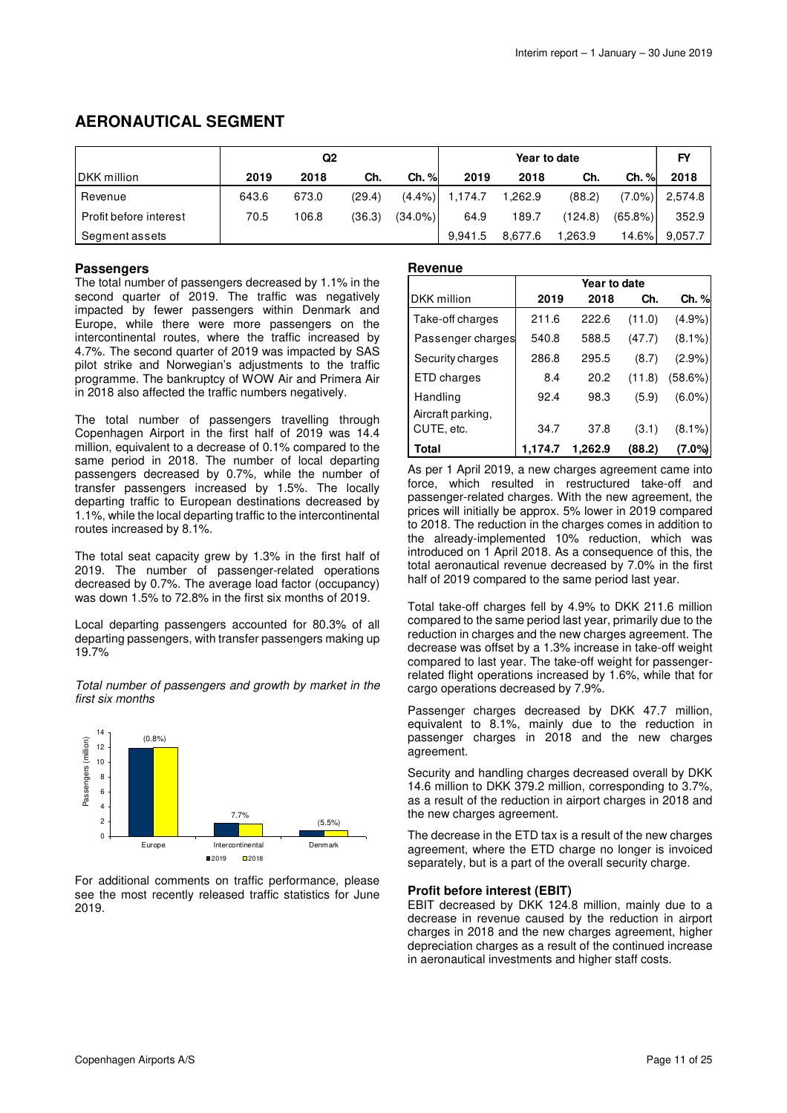# **AERONAUTICAL SEGMENT**

|                        | Q <sub>2</sub> |       |        |            | Year to date |         |         |            | <b>FY</b> |
|------------------------|----------------|-------|--------|------------|--------------|---------|---------|------------|-----------|
| <b>IDKK</b> million    | 2019           | 2018  | Ch.    | Ch. %      | 2019         | 2018    | Ch.     | $Ch.$ %    | 2018      |
| Revenue                | 643.6          | 673.0 | (29.4) | $(4.4\%)$  | 1.174.7      | 1,262.9 | (88.2)  | $(7.0\%)$  | 2,574.8   |
| Profit before interest | 70.5           | 106.8 | (36.3) | $(34.0\%)$ | 64.9         | 189.7   | (124.8) | $(65.8\%)$ | 352.9     |
| Segment assets         |                |       |        |            | 9.941.5      | 8.677.6 | ,263.9  | 14.6%L     | 9.057.7   |

### **Passengers**

The total number of passengers decreased by 1.1% in the second quarter of 2019. The traffic was negatively impacted by fewer passengers within Denmark and Europe, while there were more passengers on the intercontinental routes, where the traffic increased by 4.7%. The second quarter of 2019 was impacted by SAS pilot strike and Norwegian's adjustments to the traffic programme. The bankruptcy of WOW Air and Primera Air in 2018 also affected the traffic numbers negatively.

The total number of passengers travelling through Copenhagen Airport in the first half of 2019 was 14.4 million, equivalent to a decrease of 0.1% compared to the same period in 2018. The number of local departing passengers decreased by 0.7%, while the number of transfer passengers increased by 1.5%. The locally departing traffic to European destinations decreased by 1.1%, while the local departing traffic to the intercontinental routes increased by 8.1%.

The total seat capacity grew by 1.3% in the first half of 2019. The number of passenger-related operations decreased by 0.7%. The average load factor (occupancy) was down 1.5% to 72.8% in the first six months of 2019.

Local departing passengers accounted for 80.3% of all departing passengers, with transfer passengers making up 19.7%

Total number of passengers and growth by market in the first six months



For additional comments on traffic performance, please see the most recently released traffic statistics for June 2019.

#### **Revenue**

|                               | Year to date |         |        |            |  |  |
|-------------------------------|--------------|---------|--------|------------|--|--|
| DKK million                   | 2019         | 2018    | Ch.    | Ch. %      |  |  |
| Take-off charges              | 211.6        | 222.6   | (11.0) | (4.9%)     |  |  |
| Passenger charges             | 540.8        | 588.5   | (47.7) | $(8.1\%)$  |  |  |
| Security charges              | 286.8        | 295.5   | (8.7)  | $(2.9\%)$  |  |  |
| ETD charges                   | 8.4          | 20.2    | (11.8) | $(58.6\%)$ |  |  |
| Handling<br>Aircraft parking, | 92.4         | 98.3    | (5.9)  | $(6.0\%)$  |  |  |
| CUTE, etc.                    | 34.7         | 37.8    | (3.1)  | $(8.1\%)$  |  |  |
| Total                         | 1.174.7      | 1,262.9 | (88.2) | (7.0%)     |  |  |

As per 1 April 2019, a new charges agreement came into force, which resulted in restructured take-off and passenger-related charges. With the new agreement, the prices will initially be approx. 5% lower in 2019 compared to 2018. The reduction in the charges comes in addition to the already-implemented 10% reduction, which was introduced on 1 April 2018. As a consequence of this, the total aeronautical revenue decreased by 7.0% in the first half of 2019 compared to the same period last year.

Total take-off charges fell by 4.9% to DKK 211.6 million compared to the same period last year, primarily due to the reduction in charges and the new charges agreement. The decrease was offset by a 1.3% increase in take-off weight compared to last year. The take-off weight for passengerrelated flight operations increased by 1.6%, while that for cargo operations decreased by 7.9%.

Passenger charges decreased by DKK 47.7 million, equivalent to 8.1%, mainly due to the reduction in passenger charges in 2018 and the new charges agreement.

Security and handling charges decreased overall by DKK 14.6 million to DKK 379.2 million, corresponding to 3.7%, as a result of the reduction in airport charges in 2018 and the new charges agreement.

The decrease in the ETD tax is a result of the new charges agreement, where the ETD charge no longer is invoiced separately, but is a part of the overall security charge.

#### **Profit before interest (EBIT)**

EBIT decreased by DKK 124.8 million, mainly due to a decrease in revenue caused by the reduction in airport charges in 2018 and the new charges agreement, higher depreciation charges as a result of the continued increase in aeronautical investments and higher staff costs.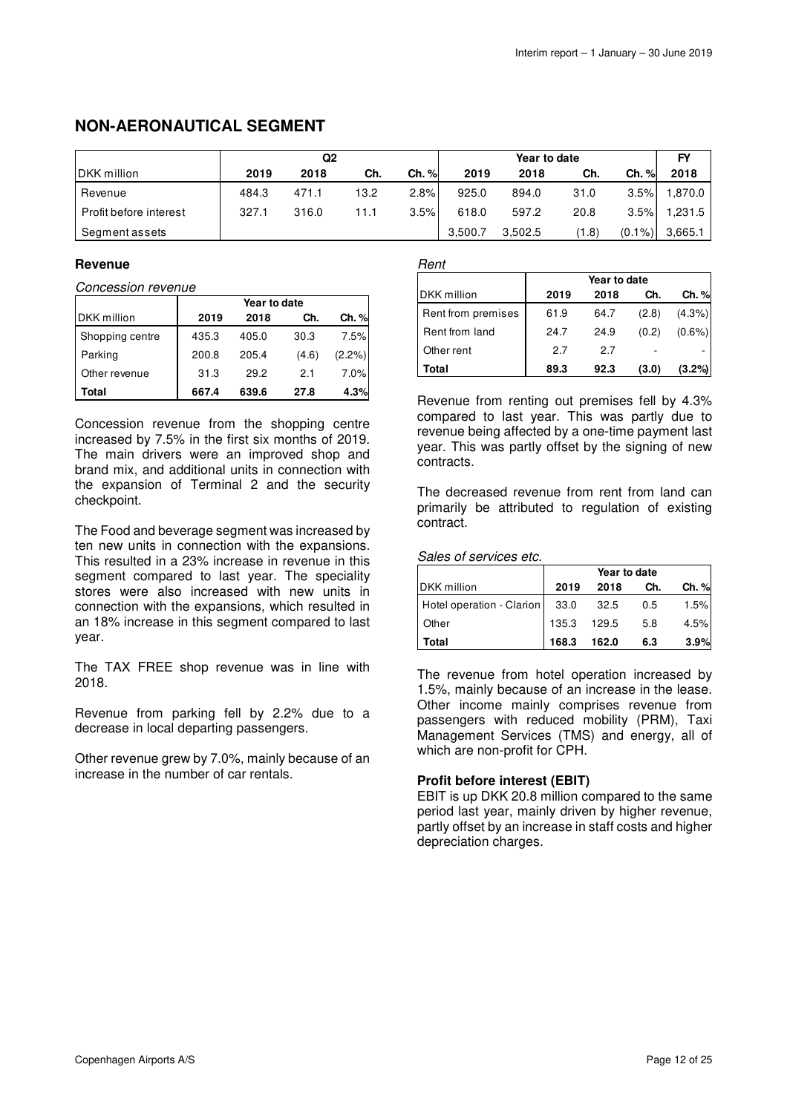# **NON-AERONAUTICAL SEGMENT**

|                        | Q2    |       |      | Year to date |         |         |       | FY        |         |
|------------------------|-------|-------|------|--------------|---------|---------|-------|-----------|---------|
| <b>IDKK</b> million    | 2019  | 2018  | Ch.  | Ch. %        | 2019    | 2018    | Ch.   | Ch. %     | 2018    |
| Revenue                | 484.3 | 471.1 | 13.2 | 2.8%         | 925.0   | 894.0   | 31.0  | 3.5%      | 1.870.0 |
| Profit before interest | 327.1 | 316.0 | 11.1 | 3.5%         | 618.0   | 597.2   | 20.8  | 3.5%      | 1,231.5 |
| Segment assets         |       |       |      |              | 3.500.7 | 3.502.5 | (1.8) | $(0.1\%)$ | 3,665.1 |

### **Revenue**

Concession revenue

|                    | Year to date |       |       |        |  |
|--------------------|--------------|-------|-------|--------|--|
| <b>DKK</b> million | 2019         | 2018  | Ch.   | Ch. %  |  |
| Shopping centre    | 435.3        | 405.0 | 30.3  | 7.5%   |  |
| Parking            | 200.8        | 205.4 | (4.6) | (2.2%) |  |
| Other revenue      | 31.3         | 29.2  | 2.1   | 7.0%   |  |
| Total              | 667.4        | 639.6 | 27.8  | 4.3%   |  |

Concession revenue from the shopping centre increased by 7.5% in the first six months of 2019. The main drivers were an improved shop and brand mix, and additional units in connection with the expansion of Terminal 2 and the security checkpoint.

The Food and beverage segment was increased by ten new units in connection with the expansions. This resulted in a 23% increase in revenue in this segment compared to last year. The speciality stores were also increased with new units in connection with the expansions, which resulted in an 18% increase in this segment compared to last year.

The TAX FREE shop revenue was in line with 2018.

Revenue from parking fell by 2.2% due to a decrease in local departing passengers.

Other revenue grew by 7.0%, mainly because of an increase in the number of car rentals.

### Rent

|                    | Year to date |      |       |           |  |  |
|--------------------|--------------|------|-------|-----------|--|--|
| DKK million        | 2019         | 2018 | Ch.   | Ch. %     |  |  |
| Rent from premises | 61.9         | 64.7 | (2.8) | (4.3%)    |  |  |
| Rent from land     | 24.7         | 24.9 | (0.2) | $(0.6\%)$ |  |  |
| Other rent         | 2.7          | 2.7  |       |           |  |  |
| Total              | 89.3         | 92.3 | (3.0) | $(3.2\%)$ |  |  |

Revenue from renting out premises fell by 4.3% compared to last year. This was partly due to revenue being affected by a one-time payment last year. This was partly offset by the signing of new contracts.

The decreased revenue from rent from land can primarily be attributed to regulation of existing contract.

#### Sales of services etc.

|                           | Year to date |       |     |       |  |  |
|---------------------------|--------------|-------|-----|-------|--|--|
| DKK million               | 2019         | 2018  | Ch. | Ch. % |  |  |
| Hotel operation - Clarion | 33.0         | -32.5 | 0.5 | 1.5%  |  |  |
| Other                     | 135.3        | 129.5 | 5.8 | 4.5%  |  |  |
| Total                     | 168.3        | 162.0 | 6.3 | 3.9%  |  |  |

The revenue from hotel operation increased by 1.5%, mainly because of an increase in the lease. Other income mainly comprises revenue from passengers with reduced mobility (PRM), Taxi Management Services (TMS) and energy, all of which are non-profit for CPH.

### **Profit before interest (EBIT)**

EBIT is up DKK 20.8 million compared to the same period last year, mainly driven by higher revenue, partly offset by an increase in staff costs and higher depreciation charges.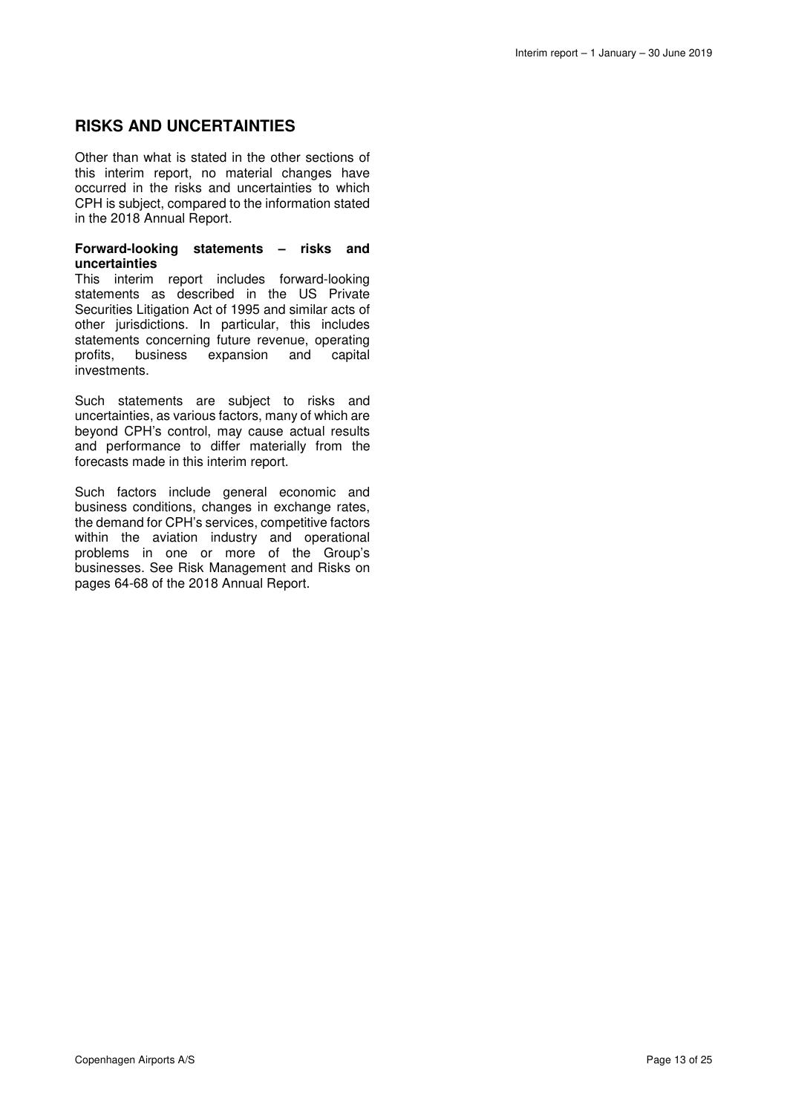# **RISKS AND UNCERTAINTIES**

Other than what is stated in the other sections of this interim report, no material changes have occurred in the risks and uncertainties to which CPH is subject, compared to the information stated in the 2018 Annual Report.

#### **Forward-looking statements – risks and uncertainties**

This interim report includes forward-looking statements as described in the US Private Securities Litigation Act of 1995 and similar acts of other jurisdictions. In particular, this includes statements concerning future revenue, operating profits, business expansion and capital investments.

Such statements are subject to risks and uncertainties, as various factors, many of which are beyond CPH's control, may cause actual results and performance to differ materially from the forecasts made in this interim report.

Such factors include general economic and business conditions, changes in exchange rates, the demand for CPH's services, competitive factors within the aviation industry and operational problems in one or more of the Group's businesses. See Risk Management and Risks on pages 64-68 of the 2018 Annual Report.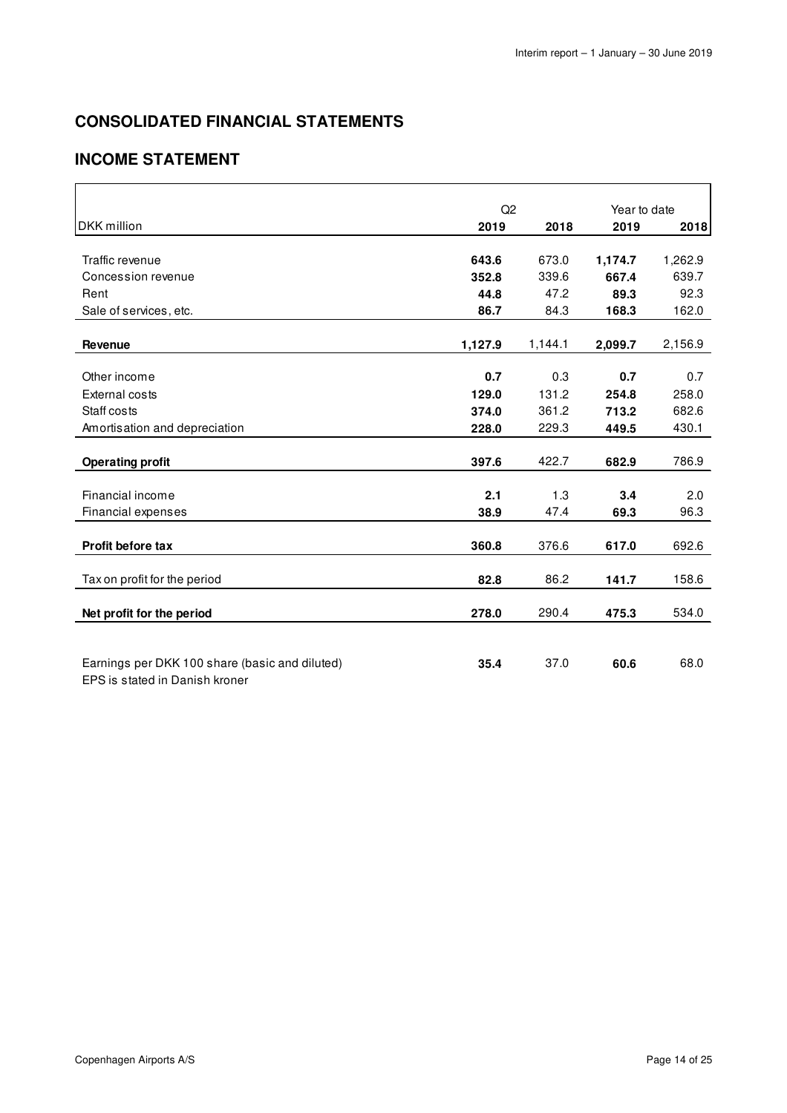# **CONSOLIDATED FINANCIAL STATEMENTS**

# **INCOME STATEMENT**

|                                                | Q2      |         | Year to date |         |
|------------------------------------------------|---------|---------|--------------|---------|
| <b>DKK</b> million                             | 2019    | 2018    | 2019         | 2018    |
|                                                |         |         |              |         |
| Traffic revenue                                | 643.6   | 673.0   | 1,174.7      | 1,262.9 |
| Concession revenue                             | 352.8   | 339.6   | 667.4        | 639.7   |
| Rent                                           | 44.8    | 47.2    | 89.3         | 92.3    |
| Sale of services, etc.                         | 86.7    | 84.3    | 168.3        | 162.0   |
|                                                |         |         |              |         |
| Revenue                                        | 1,127.9 | 1,144.1 | 2,099.7      | 2,156.9 |
| Other income                                   | 0.7     | 0.3     | 0.7          | 0.7     |
| <b>External costs</b>                          | 129.0   | 131.2   | 254.8        | 258.0   |
| Staff costs                                    | 374.0   | 361.2   | 713.2        | 682.6   |
| Amortisation and depreciation                  | 228.0   | 229.3   | 449.5        | 430.1   |
|                                                |         |         |              |         |
| <b>Operating profit</b>                        | 397.6   | 422.7   | 682.9        | 786.9   |
|                                                |         |         |              |         |
| Financial income                               | 2.1     | 1.3     | 3.4          | 2.0     |
| Financial expenses                             | 38.9    | 47.4    | 69.3         | 96.3    |
|                                                |         |         |              |         |
| <b>Profit before tax</b>                       | 360.8   | 376.6   | 617.0        | 692.6   |
|                                                |         |         |              |         |
| Tax on profit for the period                   | 82.8    | 86.2    | 141.7        | 158.6   |
| Net profit for the period                      | 278.0   | 290.4   | 475.3        | 534.0   |
|                                                |         |         |              |         |
|                                                |         |         |              |         |
| Earnings per DKK 100 share (basic and diluted) | 35.4    | 37.0    | 60.6         | 68.0    |
| EPS is stated in Danish kroner                 |         |         |              |         |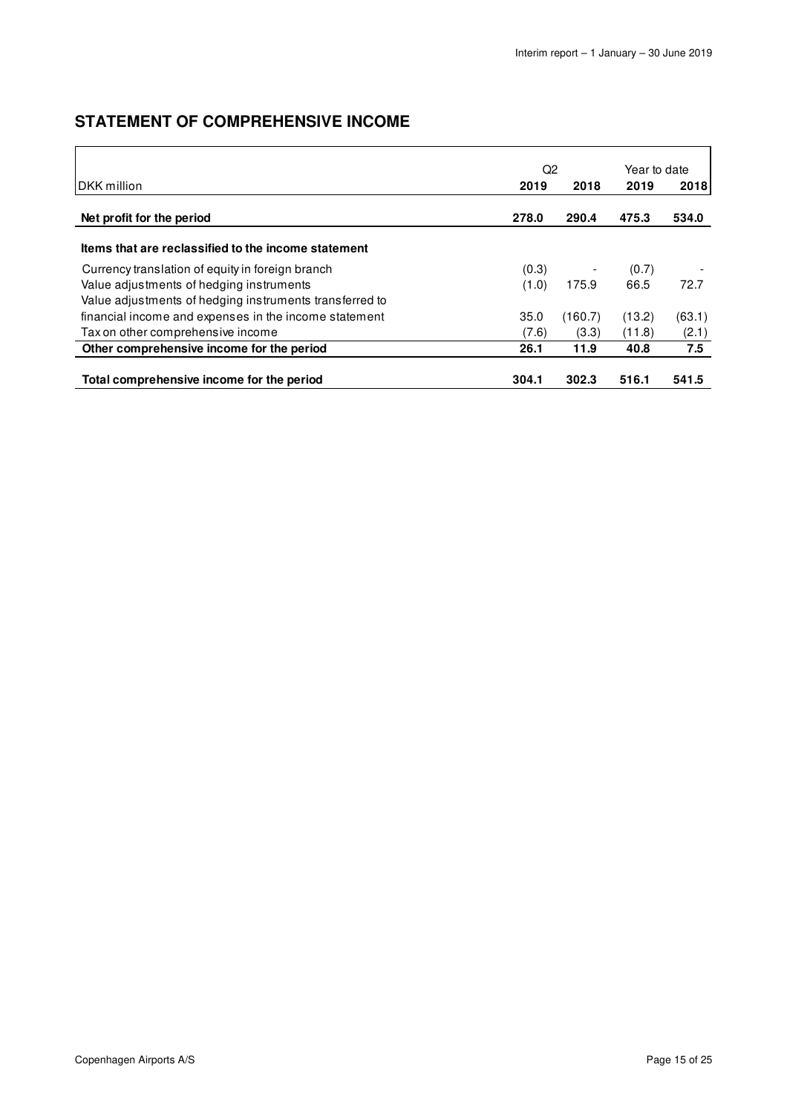# **STATEMENT OF COMPREHENSIVE INCOME**

| Q <sub>2</sub>                                          |       |         | Year to date |        |
|---------------------------------------------------------|-------|---------|--------------|--------|
| IDKK million                                            | 2019  | 2018    | 2019         | 2018   |
| Net profit for the period                               | 278.0 | 290.4   | 475.3        | 534.0  |
| Items that are reclassified to the income statement     |       |         |              |        |
| Currency translation of equity in foreign branch        | (0.3) |         | (0.7)        |        |
| Value adjustments of hedging instruments                | (1.0) | 175.9   | 66.5         | 72.7   |
| Value adjustments of hedging instruments transferred to |       |         |              |        |
| financial income and expenses in the income statement   | 35.0  | (160.7) | (13.2)       | (63.1) |
| Tax on other comprehensive income                       | (7.6) | (3.3)   | (11.8)       | (2.1)  |
| Other comprehensive income for the period               | 26.1  | 11.9    | 40.8         | 7.5    |
| Total comprehensive income for the period               | 304.1 | 302.3   | 516.1        | 541.5  |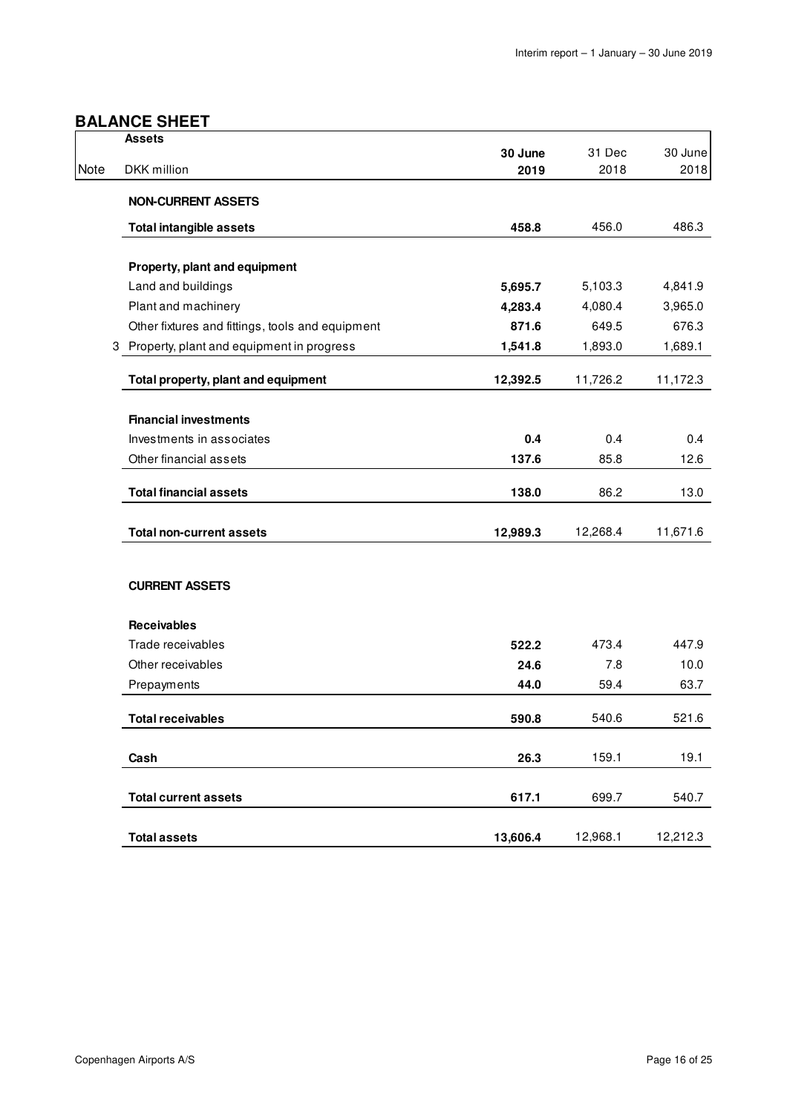# **BALANCE SHEET**

|      | <b>Assets</b>                                    |                 |                |                 |
|------|--------------------------------------------------|-----------------|----------------|-----------------|
| Note | DKK million                                      | 30 June<br>2019 | 31 Dec<br>2018 | 30 June<br>2018 |
|      |                                                  |                 |                |                 |
|      | <b>NON-CURRENT ASSETS</b>                        |                 |                |                 |
|      | <b>Total intangible assets</b>                   | 458.8           | 456.0          | 486.3           |
|      |                                                  |                 |                |                 |
|      | Property, plant and equipment                    |                 |                |                 |
|      | Land and buildings                               | 5,695.7         | 5,103.3        | 4,841.9         |
|      | Plant and machinery                              | 4,283.4         | 4,080.4        | 3,965.0         |
|      | Other fixtures and fittings, tools and equipment | 871.6           | 649.5          | 676.3           |
|      | 3 Property, plant and equipment in progress      | 1,541.8         | 1,893.0        | 1,689.1         |
|      | Total property, plant and equipment              | 12,392.5        | 11,726.2       | 11,172.3        |
|      | <b>Financial investments</b>                     |                 |                |                 |
|      | Investments in associates                        | 0.4             | 0.4            | 0.4             |
|      | Other financial assets                           | 137.6           | 85.8           | 12.6            |
|      |                                                  |                 |                |                 |
|      | <b>Total financial assets</b>                    | 138.0           | 86.2           | 13.0            |
|      | <b>Total non-current assets</b>                  | 12,989.3        | 12,268.4       | 11,671.6        |
|      |                                                  |                 |                |                 |
|      | <b>CURRENT ASSETS</b>                            |                 |                |                 |
|      | <b>Receivables</b>                               |                 |                |                 |
|      | Trade receivables                                | 522.2           | 473.4          | 447.9           |
|      | Other receivables                                | 24.6            | 7.8            | 10.0            |
|      | Prepayments                                      | 44.0            | 59.4           | 63.7            |
|      | <b>Total receivables</b>                         | 590.8           | 540.6          | 521.6           |
|      |                                                  |                 |                |                 |
|      | Cash                                             | 26.3            | 159.1          | 19.1            |
|      | <b>Total current assets</b>                      | 617.1           | 699.7          | 540.7           |
|      |                                                  |                 |                |                 |
|      | <b>Total assets</b>                              | 13,606.4        | 12,968.1       | 12,212.3        |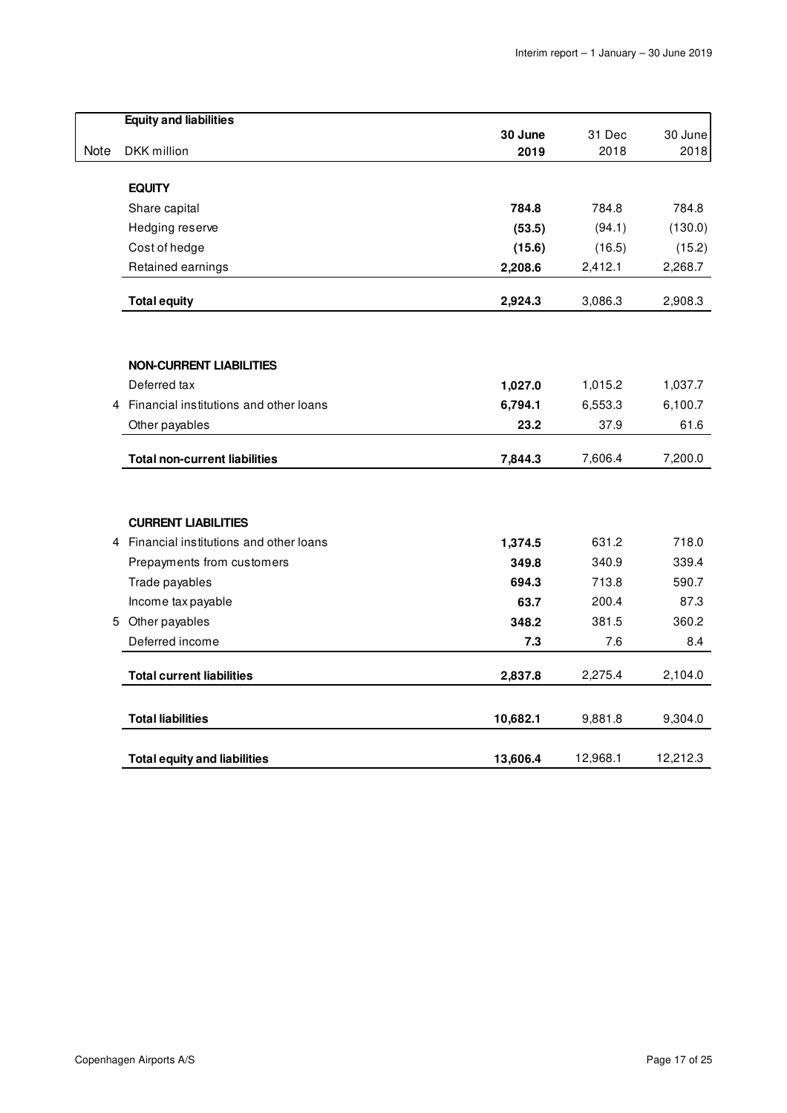|      | <b>Equity and liabilities</b>          |                 |          |          |
|------|----------------------------------------|-----------------|----------|----------|
| Note |                                        | 30 June<br>2019 | 31 Dec   | 30 June  |
|      | DKK million                            |                 | 2018     | 2018     |
|      | <b>EQUITY</b>                          |                 |          |          |
|      | Share capital                          | 784.8           | 784.8    | 784.8    |
|      | Hedging reserve                        | (53.5)          | (94.1)   | (130.0)  |
|      | Cost of hedge                          | (15.6)          | (16.5)   | (15.2)   |
|      | Retained earnings                      | 2,208.6         | 2,412.1  | 2,268.7  |
|      | <b>Total equity</b>                    | 2,924.3         | 3,086.3  | 2,908.3  |
|      |                                        |                 |          |          |
|      | <b>NON-CURRENT LIABILITIES</b>         |                 |          |          |
|      | Deferred tax                           | 1,027.0         | 1,015.2  | 1,037.7  |
| 4    | Financial institutions and other loans | 6,794.1         | 6,553.3  | 6,100.7  |
|      | Other payables                         | 23.2            | 37.9     | 61.6     |
|      | <b>Total non-current liabilities</b>   | 7,844.3         | 7,606.4  | 7,200.0  |
|      | <b>CURRENT LIABILITIES</b>             |                 |          |          |
| 4    | Financial institutions and other loans | 1,374.5         | 631.2    | 718.0    |
|      | Prepayments from customers             | 349.8           | 340.9    | 339.4    |
|      | Trade payables                         | 694.3           | 713.8    | 590.7    |
|      | Income tax payable                     | 63.7            | 200.4    | 87.3     |
|      | 5 Other payables                       | 348.2           | 381.5    | 360.2    |
|      | Deferred income                        | 7.3             | 7.6      | 8.4      |
|      | <b>Total current liabilities</b>       | 2,837.8         | 2,275.4  | 2,104.0  |
|      | <b>Total liabilities</b>               | 10,682.1        | 9,881.8  | 9,304.0  |
|      | <b>Total equity and liabilities</b>    | 13,606.4        | 12,968.1 | 12,212.3 |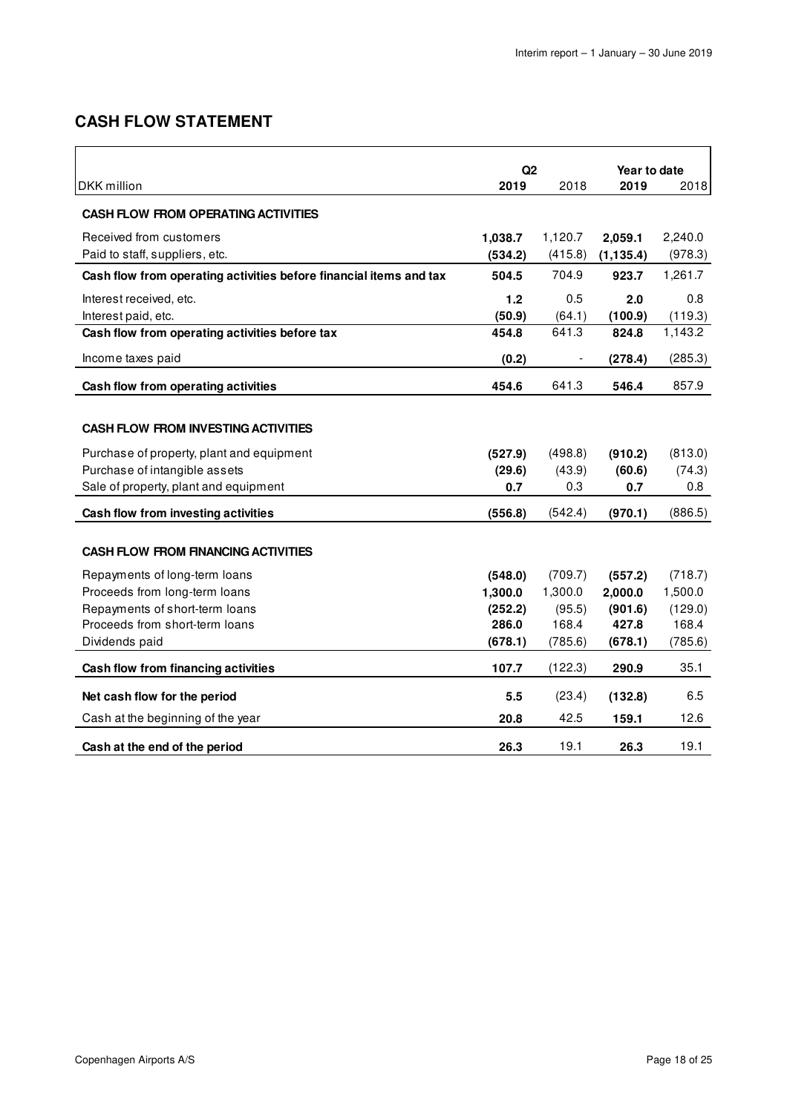# **CASH FLOW STATEMENT**

|                                                                    | Q2      |         | Year to date |         |  |
|--------------------------------------------------------------------|---------|---------|--------------|---------|--|
| DKK million                                                        | 2019    | 2018    | 2019         | 2018    |  |
| <b>CASH FLOW FROM OPERATING ACTIVITIES</b>                         |         |         |              |         |  |
| Received from customers                                            | 1,038.7 | 1,120.7 | 2,059.1      | 2,240.0 |  |
| Paid to staff, suppliers, etc.                                     | (534.2) | (415.8) | (1, 135.4)   | (978.3) |  |
| Cash flow from operating activities before financial items and tax | 504.5   | 704.9   | 923.7        | 1,261.7 |  |
| Interest received, etc.                                            | 1.2     | 0.5     | 2.0          | 0.8     |  |
| Interest paid, etc.                                                | (50.9)  | (64.1)  | (100.9)      | (119.3) |  |
| Cash flow from operating activities before tax                     | 454.8   | 641.3   | 824.8        | 1,143.2 |  |
| Income taxes paid                                                  | (0.2)   |         | (278.4)      | (285.3) |  |
| Cash flow from operating activities                                | 454.6   | 641.3   | 546.4        | 857.9   |  |
|                                                                    |         |         |              |         |  |
| <b>CASH FLOW FROM INVESTING ACTIVITIES</b>                         |         |         |              |         |  |
| Purchase of property, plant and equipment                          | (527.9) | (498.8) | (910.2)      | (813.0) |  |
| Purchase of intangible assets                                      | (29.6)  | (43.9)  | (60.6)       | (74.3)  |  |
| Sale of property, plant and equipment                              | 0.7     | 0.3     | 0.7          | 0.8     |  |
| Cash flow from investing activities                                | (556.8) | (542.4) | (970.1)      | (886.5) |  |
|                                                                    |         |         |              |         |  |
| <b>CASH FLOW FROM FINANCING ACTIVITIES</b>                         |         |         |              |         |  |
| Repayments of long-term loans                                      | (548.0) | (709.7) | (557.2)      | (718.7) |  |
| Proceeds from long-term loans                                      | 1,300.0 | 1,300.0 | 2,000.0      | 1,500.0 |  |
| Repayments of short-term loans                                     | (252.2) | (95.5)  | (901.6)      | (129.0) |  |
| Proceeds from short-term loans                                     | 286.0   | 168.4   | 427.8        | 168.4   |  |
| Dividends paid                                                     | (678.1) | (785.6) | (678.1)      | (785.6) |  |
| Cash flow from financing activities                                | 107.7   | (122.3) | 290.9        | 35.1    |  |
| Net cash flow for the period                                       | 5.5     | (23.4)  | (132.8)      | 6.5     |  |
| Cash at the beginning of the year                                  | 20.8    | 42.5    | 159.1        | 12.6    |  |
| Cash at the end of the period                                      | 26.3    | 19.1    | 26.3         | 19.1    |  |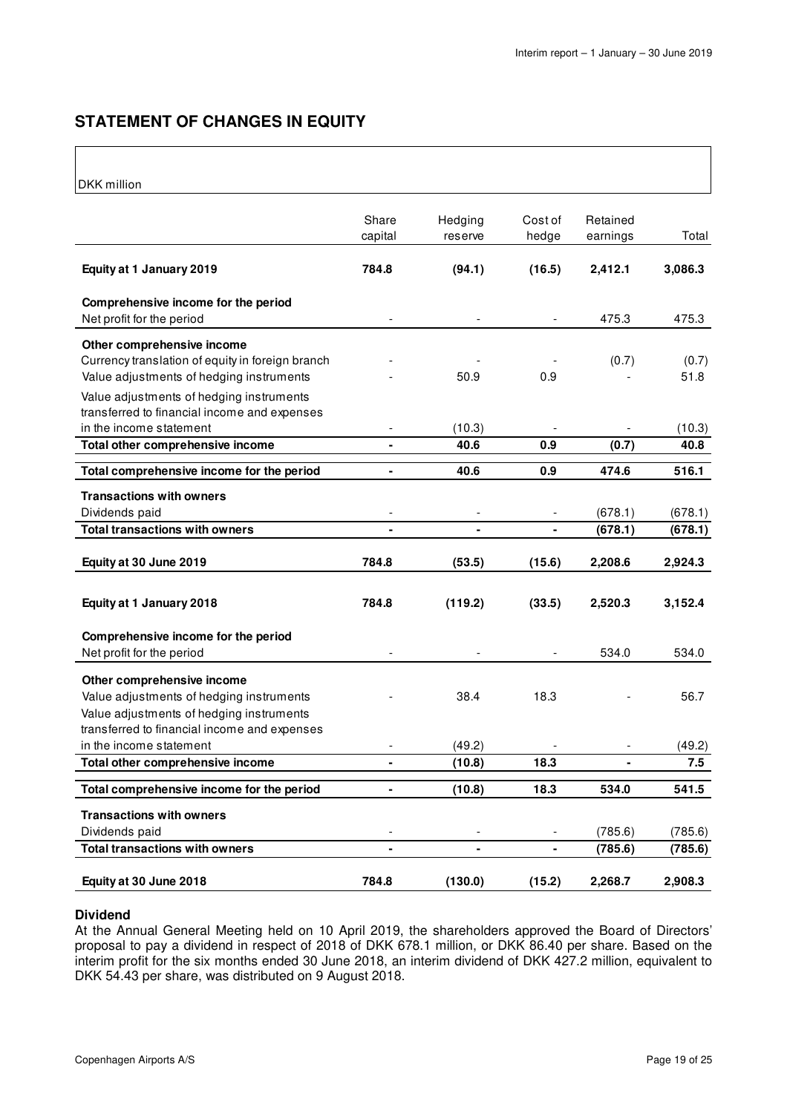# **STATEMENT OF CHANGES IN EQUITY**

### $\big|_{\text{DVA}}$  million

| DKK MIIIION                                                                              |                   |                          |                          |          |         |
|------------------------------------------------------------------------------------------|-------------------|--------------------------|--------------------------|----------|---------|
|                                                                                          |                   |                          |                          |          |         |
|                                                                                          | Share             | Hedging                  | Cost of                  | Retained |         |
|                                                                                          | capital           | reserve                  | hedge                    | earnings | Total   |
| Equity at 1 January 2019                                                                 | 784.8             | (94.1)                   | (16.5)                   | 2,412.1  | 3,086.3 |
|                                                                                          |                   |                          |                          |          |         |
| Comprehensive income for the period                                                      |                   |                          |                          |          |         |
| Net profit for the period                                                                |                   |                          |                          | 475.3    | 475.3   |
| Other comprehensive income                                                               |                   |                          |                          |          |         |
| Currency translation of equity in foreign branch                                         |                   |                          |                          | (0.7)    | (0.7)   |
| Value adjustments of hedging instruments                                                 |                   | 50.9                     | 0.9                      |          | 51.8    |
| Value adjustments of hedging instruments                                                 |                   |                          |                          |          |         |
| transferred to financial income and expenses                                             |                   |                          |                          |          |         |
| in the income statement                                                                  |                   | (10.3)                   |                          |          | (10.3)  |
| Total other comprehensive income                                                         | $\blacksquare$    | 40.6                     | 0.9                      | (0.7)    | 40.8    |
| Total comprehensive income for the period                                                | -                 | 40.6                     | 0.9                      | 474.6    | 516.1   |
|                                                                                          |                   |                          |                          |          |         |
| <b>Transactions with owners</b>                                                          |                   |                          |                          |          |         |
| Dividends paid                                                                           | $\qquad \qquad -$ | $\overline{\phantom{a}}$ | $\overline{\phantom{a}}$ | (678.1)  | (678.1) |
| <b>Total transactions with owners</b>                                                    | $\blacksquare$    | $\blacksquare$           | $\blacksquare$           | (678.1)  | (678.1) |
| Equity at 30 June 2019                                                                   | 784.8             | (53.5)                   | (15.6)                   | 2,208.6  | 2,924.3 |
|                                                                                          |                   |                          |                          |          |         |
| Equity at 1 January 2018                                                                 | 784.8             | (119.2)                  | (33.5)                   | 2,520.3  | 3,152.4 |
|                                                                                          |                   |                          |                          |          |         |
| Comprehensive income for the period                                                      |                   |                          |                          |          |         |
| Net profit for the period                                                                |                   |                          |                          | 534.0    | 534.0   |
|                                                                                          |                   |                          |                          |          |         |
| Other comprehensive income                                                               |                   |                          |                          |          |         |
| Value adjustments of hedging instruments                                                 |                   | 38.4                     | 18.3                     |          | 56.7    |
| Value adjustments of hedging instruments<br>transferred to financial income and expenses |                   |                          |                          |          |         |
| in the income statement                                                                  |                   | (49.2)                   |                          |          | (49.2)  |
| Total other comprehensive income                                                         | ä,                | (10.8)                   | 18.3                     |          | 7.5     |
|                                                                                          |                   |                          |                          |          |         |
| Total comprehensive income for the period                                                | -                 | (10.8)                   | 18.3                     | 534.0    | 541.5   |
| <b>Transactions with owners</b>                                                          |                   |                          |                          |          |         |
| Dividends paid                                                                           |                   |                          |                          | (785.6)  | (785.6) |
| <b>Total transactions with owners</b>                                                    |                   |                          |                          | (785.6)  | (785.6) |
|                                                                                          |                   |                          |                          |          |         |
| Equity at 30 June 2018                                                                   | 784.8             | (130.0)                  | (15.2)                   | 2,268.7  | 2,908.3 |

### **Dividend**

At the Annual General Meeting held on 10 April 2019, the shareholders approved the Board of Directors' proposal to pay a dividend in respect of 2018 of DKK 678.1 million, or DKK 86.40 per share. Based on the interim profit for the six months ended 30 June 2018, an interim dividend of DKK 427.2 million, equivalent to DKK 54.43 per share, was distributed on 9 August 2018.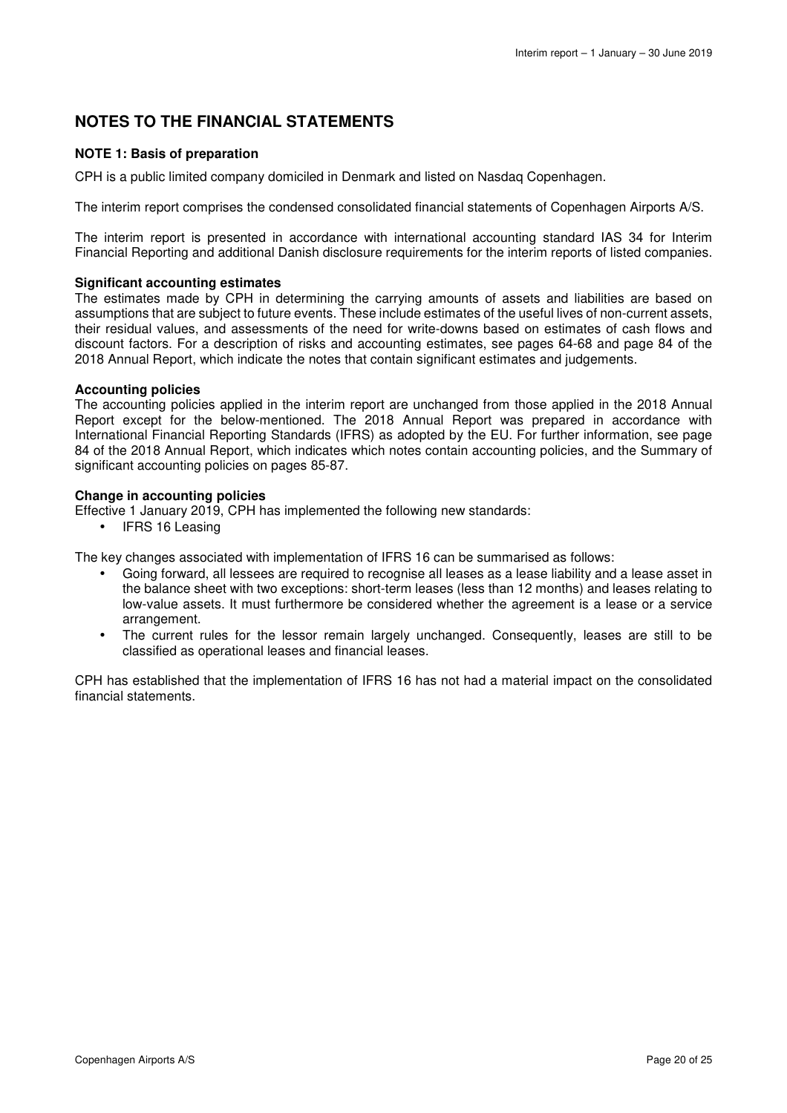# **NOTES TO THE FINANCIAL STATEMENTS**

### **NOTE 1: Basis of preparation**

CPH is a public limited company domiciled in Denmark and listed on Nasdaq Copenhagen.

The interim report comprises the condensed consolidated financial statements of Copenhagen Airports A/S.

The interim report is presented in accordance with international accounting standard IAS 34 for Interim Financial Reporting and additional Danish disclosure requirements for the interim reports of listed companies.

### **Significant accounting estimates**

The estimates made by CPH in determining the carrying amounts of assets and liabilities are based on assumptions that are subject to future events. These include estimates of the useful lives of non-current assets, their residual values, and assessments of the need for write-downs based on estimates of cash flows and discount factors. For a description of risks and accounting estimates, see pages 64-68 and page 84 of the 2018 Annual Report, which indicate the notes that contain significant estimates and judgements.

### **Accounting policies**

The accounting policies applied in the interim report are unchanged from those applied in the 2018 Annual Report except for the below-mentioned. The 2018 Annual Report was prepared in accordance with International Financial Reporting Standards (IFRS) as adopted by the EU. For further information, see page 84 of the 2018 Annual Report, which indicates which notes contain accounting policies, and the Summary of significant accounting policies on pages 85-87.

### **Change in accounting policies**

Effective 1 January 2019, CPH has implemented the following new standards:

• IFRS 16 Leasing

The key changes associated with implementation of IFRS 16 can be summarised as follows:

- Going forward, all lessees are required to recognise all leases as a lease liability and a lease asset in the balance sheet with two exceptions: short-term leases (less than 12 months) and leases relating to low-value assets. It must furthermore be considered whether the agreement is a lease or a service arrangement.
- The current rules for the lessor remain largely unchanged. Consequently, leases are still to be classified as operational leases and financial leases.

CPH has established that the implementation of IFRS 16 has not had a material impact on the consolidated financial statements.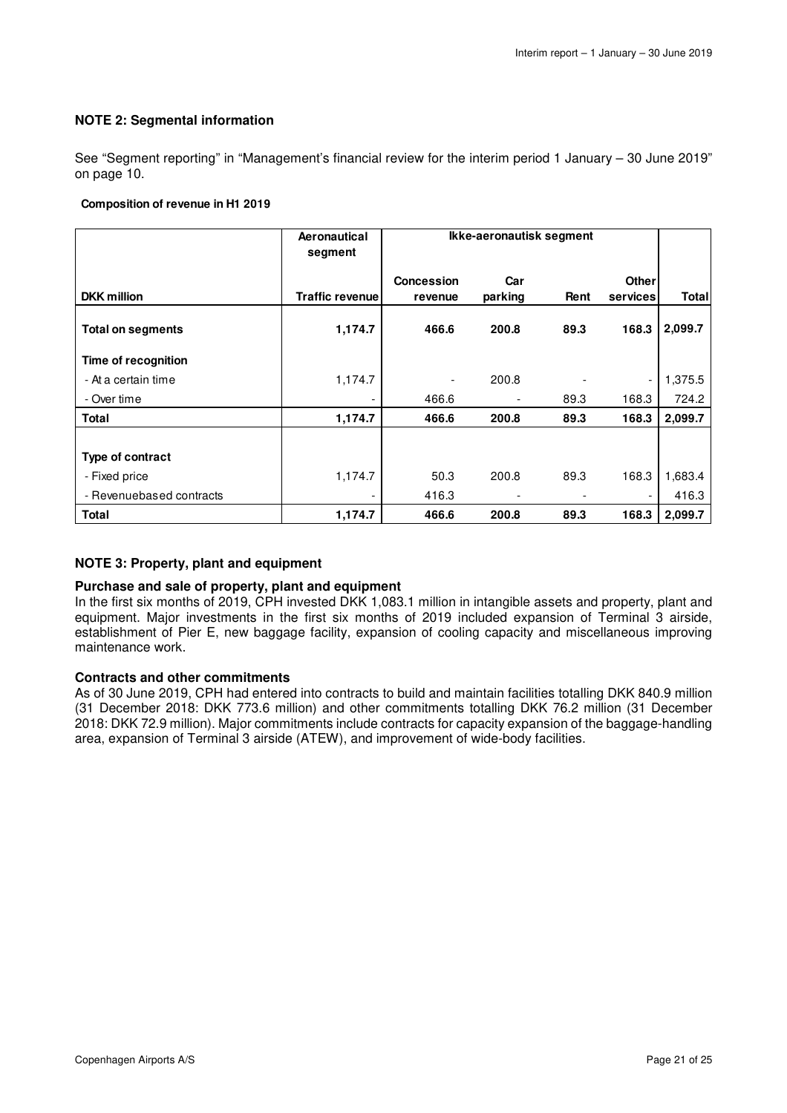### **NOTE 2: Segmental information**

See "Segment reporting" in "Management's financial review for the interim period 1 January – 30 June 2019" on page 10.

#### **Composition of revenue in H1 2019**

|                          | Aeronautical<br>segment | Ikke-aeronautisk segment |         |      |                          |         |
|--------------------------|-------------------------|--------------------------|---------|------|--------------------------|---------|
|                          |                         | <b>Concession</b>        | Car     |      | <b>Other</b>             |         |
| <b>DKK</b> million       | <b>Traffic revenuel</b> | revenue                  | parking | Rent | <b>services</b>          | Total   |
| <b>Total on segments</b> | 1,174.7                 | 466.6                    | 200.8   | 89.3 | 168.3                    | 2,099.7 |
| Time of recognition      |                         |                          |         |      |                          |         |
| - At a certain time      | 1,174.7                 |                          | 200.8   |      | $\overline{\phantom{a}}$ | 1,375.5 |
| - Over time              |                         | 466.6                    |         | 89.3 | 168.3                    | 724.2   |
| <b>Total</b>             | 1,174.7                 | 466.6                    | 200.8   | 89.3 | 168.3                    | 2,099.7 |
|                          |                         |                          |         |      |                          |         |
| Type of contract         |                         |                          |         |      |                          |         |
| - Fixed price            | 1,174.7                 | 50.3                     | 200.8   | 89.3 | 168.3                    | 1,683.4 |
| - Revenuebased contracts |                         | 416.3                    |         |      |                          | 416.3   |
| <b>Total</b>             | 1,174.7                 | 466.6                    | 200.8   | 89.3 | 168.3                    | 2,099.7 |

### **NOTE 3: Property, plant and equipment**

### **Purchase and sale of property, plant and equipment**

In the first six months of 2019, CPH invested DKK 1,083.1 million in intangible assets and property, plant and equipment. Major investments in the first six months of 2019 included expansion of Terminal 3 airside, establishment of Pier E, new baggage facility, expansion of cooling capacity and miscellaneous improving maintenance work.

### **Contracts and other commitments**

As of 30 June 2019, CPH had entered into contracts to build and maintain facilities totalling DKK 840.9 million (31 December 2018: DKK 773.6 million) and other commitments totalling DKK 76.2 million (31 December 2018: DKK 72.9 million). Major commitments include contracts for capacity expansion of the baggage-handling area, expansion of Terminal 3 airside (ATEW), and improvement of wide-body facilities.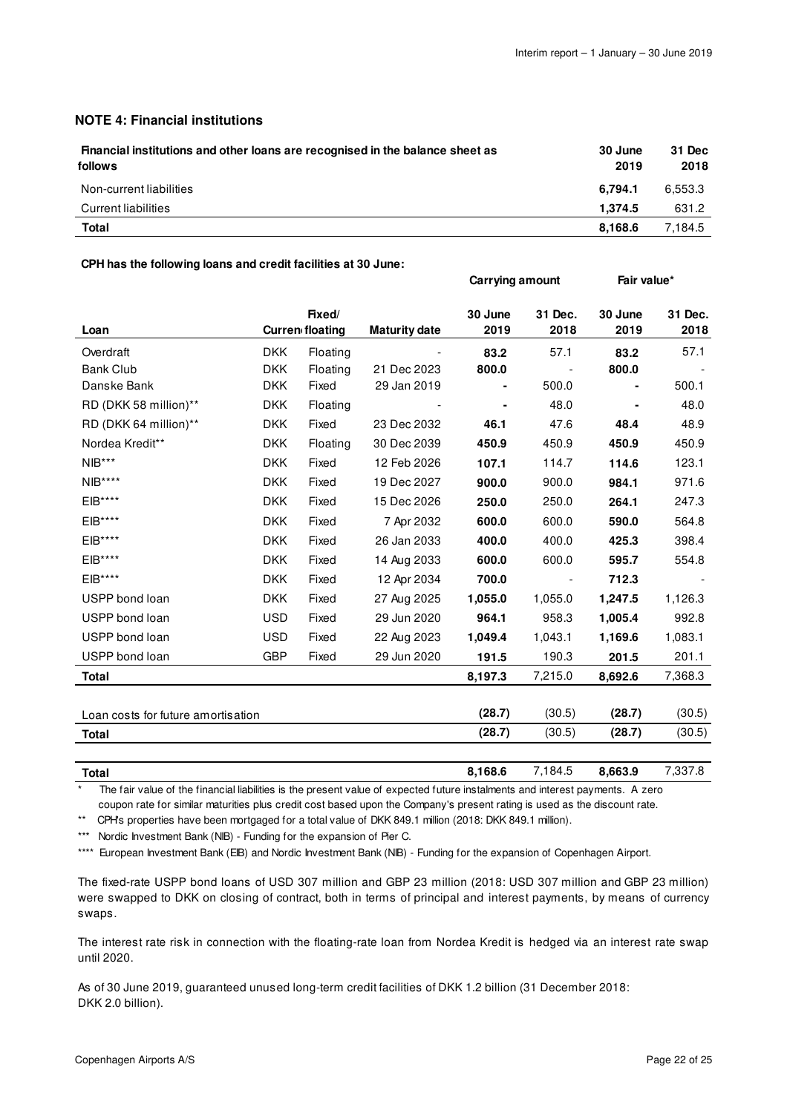### **NOTE 4: Financial institutions**

| Financial institutions and other loans are recognised in the balance sheet as<br>follows | 30 June<br>2019 | 31 Dec<br>2018 |
|------------------------------------------------------------------------------------------|-----------------|----------------|
| Non-current liabilities                                                                  | 6.794.1         | 6.553.3        |
| Current liabilities                                                                      | 1.374.5         | 631.2          |
| Total                                                                                    | 8.168.6         | 7,184.5        |

#### **CPH has the following loans and credit facilities at 30 June:**

|                                                                                   |                                  |          |                      | Carrying amount |                 | Fair value*     |                 |  |
|-----------------------------------------------------------------------------------|----------------------------------|----------|----------------------|-----------------|-----------------|-----------------|-----------------|--|
| Loan                                                                              | Fixed/<br><b>Curren floating</b> |          | <b>Maturity date</b> | 30 June<br>2019 | 31 Dec.<br>2018 | 30 June<br>2019 | 31 Dec.<br>2018 |  |
| Overdraft                                                                         | <b>DKK</b>                       | Floating |                      | 83.2            | 57.1            | 83.2            | 57.1            |  |
| <b>Bank Club</b>                                                                  | <b>DKK</b>                       | Floating | 21 Dec 2023          | 800.0           |                 | 800.0           |                 |  |
| Danske Bank                                                                       | <b>DKK</b>                       | Fixed    | 29 Jan 2019          |                 | 500.0           |                 | 500.1           |  |
| RD (DKK 58 million)**                                                             | <b>DKK</b>                       | Floating |                      |                 | 48.0            |                 | 48.0            |  |
| RD (DKK 64 million)**                                                             | <b>DKK</b>                       | Fixed    | 23 Dec 2032          | 46.1            | 47.6            | 48.4            | 48.9            |  |
| Nordea Kredit**                                                                   | <b>DKK</b>                       | Floating | 30 Dec 2039          | 450.9           | 450.9           | 450.9           | 450.9           |  |
| $\ensuremath{\mathsf{N}}\xspace\ensuremath{\mathsf{IB}}\xspace^{\star\star\star}$ | <b>DKK</b>                       | Fixed    | 12 Feb 2026          | 107.1           | 114.7           | 114.6           | 123.1           |  |
| $NIB***$                                                                          | <b>DKK</b>                       | Fixed    | 19 Dec 2027          | 900.0           | 900.0           | 984.1           | 971.6           |  |
| EIB****                                                                           | <b>DKK</b>                       | Fixed    | 15 Dec 2026          | 250.0           | 250.0           | 264.1           | 247.3           |  |
| EIB****                                                                           | <b>DKK</b>                       | Fixed    | 7 Apr 2032           | 600.0           | 600.0           | 590.0           | 564.8           |  |
| $EIB***$                                                                          | <b>DKK</b>                       | Fixed    | 26 Jan 2033          | 400.0           | 400.0           | 425.3           | 398.4           |  |
| EIB****                                                                           | <b>DKK</b>                       | Fixed    | 14 Aug 2033          | 600.0           | 600.0           | 595.7           | 554.8           |  |
| EIB****                                                                           | <b>DKK</b>                       | Fixed    | 12 Apr 2034          | 700.0           |                 | 712.3           |                 |  |
| USPP bond loan                                                                    | <b>DKK</b>                       | Fixed    | 27 Aug 2025          | 1,055.0         | 1,055.0         | 1,247.5         | 1,126.3         |  |
| USPP bond loan                                                                    | <b>USD</b>                       | Fixed    | 29 Jun 2020          | 964.1           | 958.3           | 1,005.4         | 992.8           |  |
| USPP bond loan                                                                    | <b>USD</b>                       | Fixed    | 22 Aug 2023          | 1,049.4         | 1,043.1         | 1,169.6         | 1,083.1         |  |
| USPP bond loan                                                                    | <b>GBP</b>                       | Fixed    | 29 Jun 2020          | 191.5           | 190.3           | 201.5           | 201.1           |  |
| <b>Total</b>                                                                      |                                  |          |                      | 8,197.3         | 7,215.0         | 8,692.6         | 7,368.3         |  |
|                                                                                   |                                  |          |                      | (28.7)          | (30.5)          | (28.7)          | (30.5)          |  |
| Loan costs for future amortisation                                                |                                  |          |                      |                 | (30.5)          |                 | (30.5)          |  |
| Total                                                                             |                                  |          |                      | (28.7)          |                 | (28.7)          |                 |  |
| <b>Total</b>                                                                      |                                  |          |                      | 8,168.6         | 7,184.5         | 8,663.9         | 7,337.8         |  |

The fair value of the financial liabilities is the present value of expected future instalments and interest payments. A zero coupon rate for similar maturities plus credit cost based upon the Company's present rating is used as the discount rate.

\*\* CPH's properties have been mortgaged for a total value of DKK 849.1 million (2018: DKK 849.1 million).

\*\*\* Nordic Investment Bank (NIB) - Funding for the expansion of Pier C.

\*\*\*\* European Investment Bank (EIB) and Nordic Investment Bank (NIB) - Funding for the expansion of Copenhagen Airport.

The fixed-rate USPP bond loans of USD 307 million and GBP 23 million (2018: USD 307 million and GBP 23 million) were swapped to DKK on closing of contract, both in terms of principal and interest payments, by means of currency swaps.

The interest rate risk in connection with the floating-rate loan from Nordea Kredit is hedged via an interest rate swap until 2020.

As of 30 June 2019, guaranteed unused long-term credit facilities of DKK 1.2 billion (31 December 2018: DKK 2.0 billion).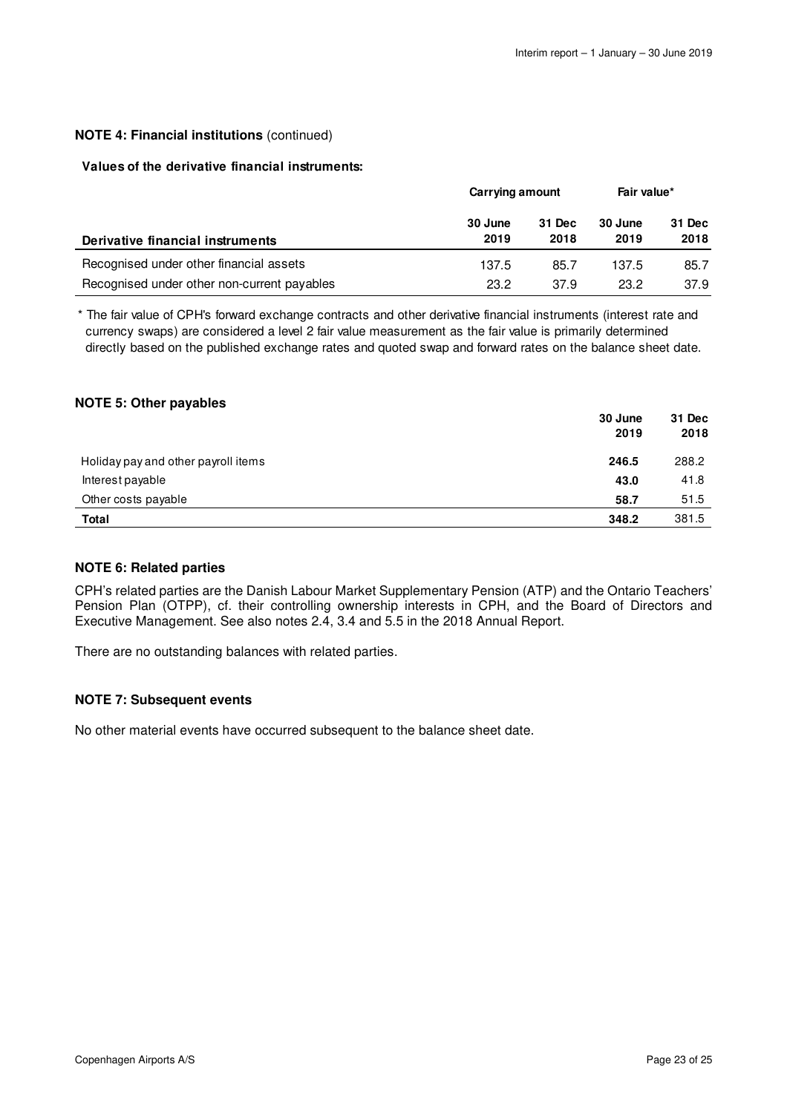### **NOTE 4: Financial institutions** (continued)

### **Values of the derivative financial instruments:**

|                                             | Carrying amount |                | Fair value*     |                |
|---------------------------------------------|-----------------|----------------|-----------------|----------------|
| Derivative financial instruments            | 30 June<br>2019 | 31 Dec<br>2018 | 30 June<br>2019 | 31 Dec<br>2018 |
| Recognised under other financial assets     | 137.5           | 85.7           | 137.5           | 85.7           |
| Recognised under other non-current payables | 23.2            | 37.9           | 23.2            | 37.9           |

\* The fair value of CPH's forward exchange contracts and other derivative financial instruments (interest rate and currency swaps) are considered a level 2 fair value measurement as the fair value is primarily determined directly based on the published exchange rates and quoted swap and forward rates on the balance sheet date.

### **NOTE 5: Other payables**

|                                     | 30 June<br>2019 | 31 Dec<br>2018 |
|-------------------------------------|-----------------|----------------|
| Holiday pay and other payroll items | 246.5           | 288.2          |
| Interest payable                    | 43.0            | 41.8           |
| Other costs payable                 | 58.7            | 51.5           |
| <b>Total</b>                        | 348.2           | 381.5          |

### **NOTE 6: Related parties**

CPH's related parties are the Danish Labour Market Supplementary Pension (ATP) and the Ontario Teachers' Pension Plan (OTPP), cf. their controlling ownership interests in CPH, and the Board of Directors and Executive Management. See also notes 2.4, 3.4 and 5.5 in the 2018 Annual Report.

There are no outstanding balances with related parties.

### **NOTE 7: Subsequent events**

No other material events have occurred subsequent to the balance sheet date.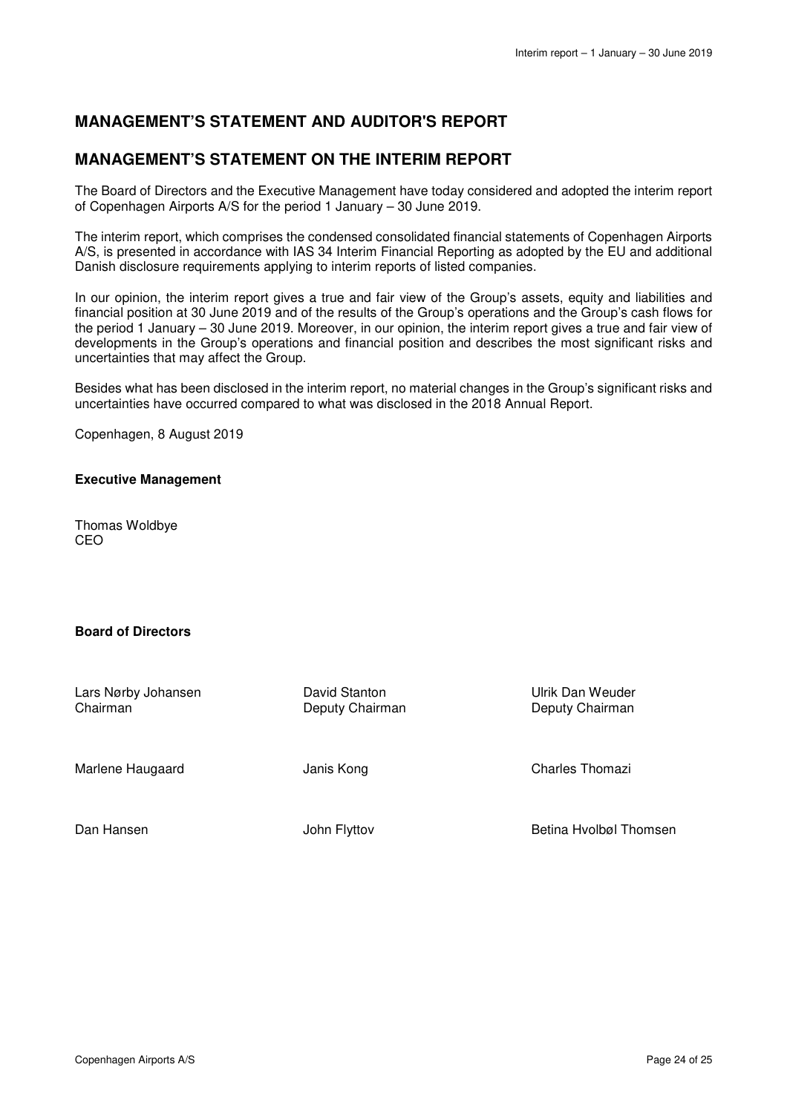# **MANAGEMENT'S STATEMENT AND AUDITOR'S REPORT**

# **MANAGEMENT'S STATEMENT ON THE INTERIM REPORT**

The Board of Directors and the Executive Management have today considered and adopted the interim report of Copenhagen Airports A/S for the period 1 January – 30 June 2019.

The interim report, which comprises the condensed consolidated financial statements of Copenhagen Airports A/S, is presented in accordance with IAS 34 Interim Financial Reporting as adopted by the EU and additional Danish disclosure requirements applying to interim reports of listed companies.

In our opinion, the interim report gives a true and fair view of the Group's assets, equity and liabilities and financial position at 30 June 2019 and of the results of the Group's operations and the Group's cash flows for the period 1 January – 30 June 2019. Moreover, in our opinion, the interim report gives a true and fair view of developments in the Group's operations and financial position and describes the most significant risks and uncertainties that may affect the Group.

Besides what has been disclosed in the interim report, no material changes in the Group's significant risks and uncertainties have occurred compared to what was disclosed in the 2018 Annual Report.

Copenhagen, 8 August 2019

### **Executive Management**

Thomas Woldbye CEO

### **Board of Directors**

Lars Nørby Johansen Chairman

David Stanton Deputy Chairman Ulrik Dan Weuder Deputy Chairman

Marlene Haugaard

Janis Kong

Charles Thomazi

Dan Hansen

John Flyttov

Betina Hvolbøl Thomsen